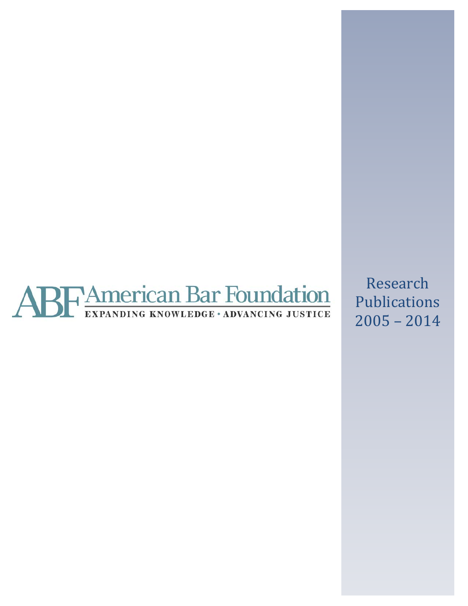

Research Publications 2005 – 2014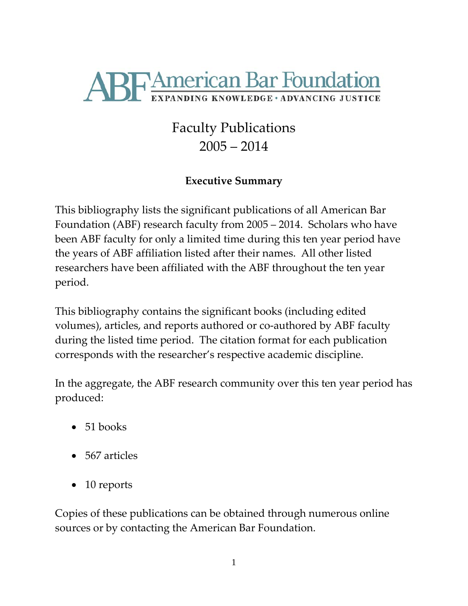

# Faculty Publications 2005 – 2014

# **Executive Summary**

This bibliography lists the significant publications of all American Bar Foundation (ABF) research faculty from 2005 – 2014. Scholars who have been ABF faculty for only a limited time during this ten year period have the years of ABF affiliation listed after their names. All other listed researchers have been affiliated with the ABF throughout the ten year period.

This bibliography contains the significant books (including edited volumes), articles, and reports authored or co-authored by ABF faculty during the listed time period. The citation format for each publication corresponds with the researcher's respective academic discipline.

In the aggregate, the ABF research community over this ten year period has produced:

- $\bullet$  51 books
- 567 articles
- 10 reports

Copies of these publications can be obtained through numerous online sources or by contacting the American Bar Foundation.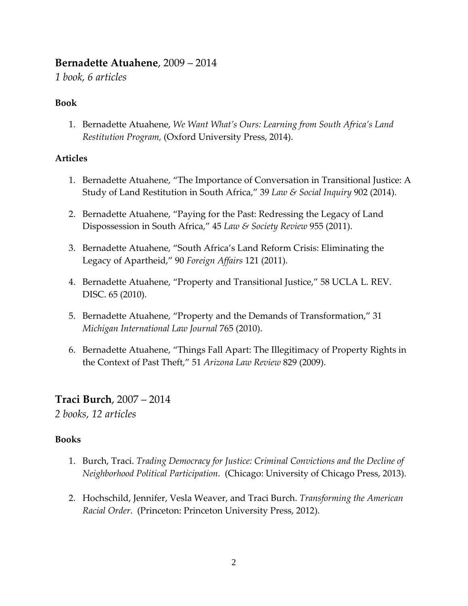# **Bernadette Atuahene**, 2009 – 2014

*1 book, 6 articles*

#### **Book**

1. Bernadette Atuahene, *We Want What's Ours: Learning from South Africa's Land Restitution Program,* (Oxford University Press, 2014).

### **Articles**

- 1. Bernadette Atuahene, "The Importance of Conversation in Transitional Justice: A Study of Land Restitution in South Africa," 39 *Law & Social Inquiry* 902 (2014).
- 2. Bernadette Atuahene, "Paying for the Past: Redressing the Legacy of Land Dispossession in South Africa," 45 *Law & Society Review* 955 (2011).
- 3. Bernadette Atuahene, "South Africa's Land Reform Crisis: Eliminating the Legacy of Apartheid," 90 *Foreign Affairs* 121 (2011).
- 4. Bernadette Atuahene, "Property and Transitional Justice," 58 UCLA L. REV. DISC. 65 (2010).
- 5. Bernadette Atuahene, "Property and the Demands of Transformation," 31 *Michigan International Law Journal* 765 (2010).
- 6. Bernadette Atuahene, "Things Fall Apart: The Illegitimacy of Property Rights in the Context of Past Theft," 51 *Arizona Law Review* 829 (2009).

# **Traci Burch**, 2007 – 2014

*2 books, 12 articles*

### **Books**

- 1. Burch, Traci. *Trading Democracy for Justice: Criminal Convictions and the Decline of Neighborhood Political Participation*. (Chicago: University of Chicago Press, 2013).
- 2. Hochschild, Jennifer, Vesla Weaver, and Traci Burch. *Transforming the American Racial Order*. (Princeton: Princeton University Press, 2012).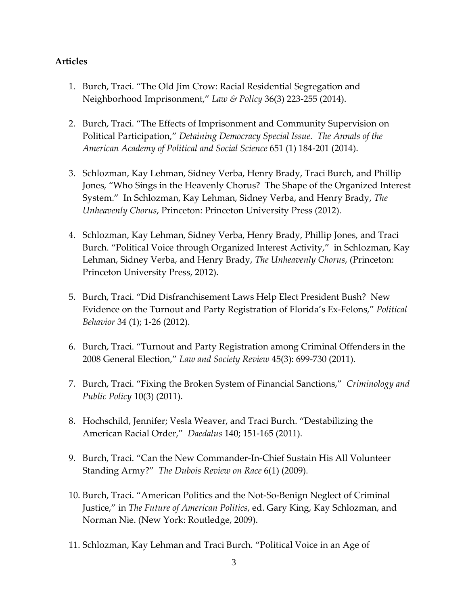- 1. Burch, Traci. "The Old Jim Crow: Racial Residential Segregation and Neighborhood Imprisonment," *Law & Policy* 36(3) 223-255 (2014).
- 2. Burch, Traci. "The Effects of Imprisonment and Community Supervision on Political Participation," *Detaining Democracy Special Issue. The Annals of the American Academy of Political and Social Science* 651 (1) 184-201 (2014).
- 3. Schlozman, Kay Lehman, Sidney Verba, Henry Brady, Traci Burch, and Phillip Jones, "Who Sings in the Heavenly Chorus? The Shape of the Organized Interest System." In Schlozman, Kay Lehman, Sidney Verba, and Henry Brady, *The Unheavenly Chorus*, Princeton: Princeton University Press (2012).
- 4. Schlozman, Kay Lehman, Sidney Verba, Henry Brady, Phillip Jones, and Traci Burch. "Political Voice through Organized Interest Activity," in Schlozman, Kay Lehman, Sidney Verba, and Henry Brady, *The Unheavenly Chorus*, (Princeton: Princeton University Press, 2012).
- 5. Burch, Traci. "Did Disfranchisement Laws Help Elect President Bush? New Evidence on the Turnout and Party Registration of Florida's Ex-Felons," *Political Behavior* 34 (1); 1-26 (2012).
- 6. Burch, Traci. "Turnout and Party Registration among Criminal Offenders in the 2008 General Election," *Law and Society Review* 45(3): 699-730 (2011).
- 7. Burch, Traci. "Fixing the Broken System of Financial Sanctions," *Criminology and Public Policy* 10(3) (2011).
- 8. Hochschild, Jennifer; Vesla Weaver, and Traci Burch. "Destabilizing the American Racial Order," *Daedalus* 140; 151-165 (2011).
- 9. Burch, Traci. "Can the New Commander-In-Chief Sustain His All Volunteer Standing Army?" *The Dubois Review on Race* 6(1) (2009).
- 10. Burch, Traci. "American Politics and the Not-So-Benign Neglect of Criminal Justice," in *The Future of American Politics*, ed. Gary King, Kay Schlozman, and Norman Nie. (New York: Routledge, 2009).
- 11. Schlozman, Kay Lehman and Traci Burch. "Political Voice in an Age of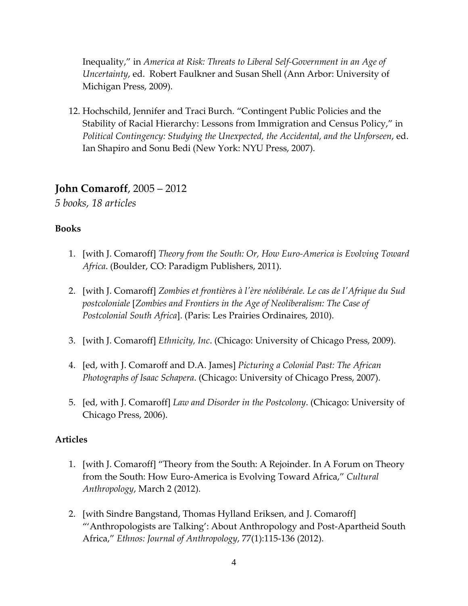Inequality," in *America at Risk: Threats to Liberal Self-Government in an Age of Uncertainty*, ed. Robert Faulkner and Susan Shell (Ann Arbor: University of Michigan Press, 2009).

12. Hochschild, Jennifer and Traci Burch. "Contingent Public Policies and the Stability of Racial Hierarchy: Lessons from Immigration and Census Policy," in *Political Contingency: Studying the Unexpected, the Accidental, and the Unforseen*, ed. Ian Shapiro and Sonu Bedi (New York: NYU Press, 2007).

### **John Comaroff**, 2005 – 2012

*5 books, 18 articles*

#### **Books**

- 1. [with J. Comaroff] *Theory from the South: Or, How Euro-America is Evolving Toward Africa*. (Boulder, CO: Paradigm Publishers, 2011).
- 2. [with J. Comaroff] *Zombies et frontières à l'ère néolibérale. Le cas de l'Afrique du Sud postcoloniale* [*Zombies and Frontiers in the Age of Neoliberalism: The Case of Postcolonial South Africa*]. (Paris: Les Prairies Ordinaires, 2010).
- 3. [with J. Comaroff] *Ethnicity, Inc*. (Chicago: University of Chicago Press, 2009).
- 4. [ed, with J. Comaroff and D.A. James] *Picturing a Colonial Past: The African Photographs of Isaac Schapera*. (Chicago: University of Chicago Press, 2007).
- 5. [ed, with J. Comaroff] *Law and Disorder in the Postcolony*. (Chicago: University of Chicago Press, 2006).

- 1. [with J. Comaroff] "Theory from the South: A Rejoinder. In A Forum on Theory from the South: How Euro-America is Evolving Toward Africa," *Cultural Anthropology*, March 2 (2012).
- 2. [with Sindre Bangstand, Thomas Hylland Eriksen, and J. Comaroff] "'Anthropologists are Talking': About Anthropology and Post-Apartheid South Africa," *Ethnos: Journal of Anthropology*, 77(1):115-136 (2012).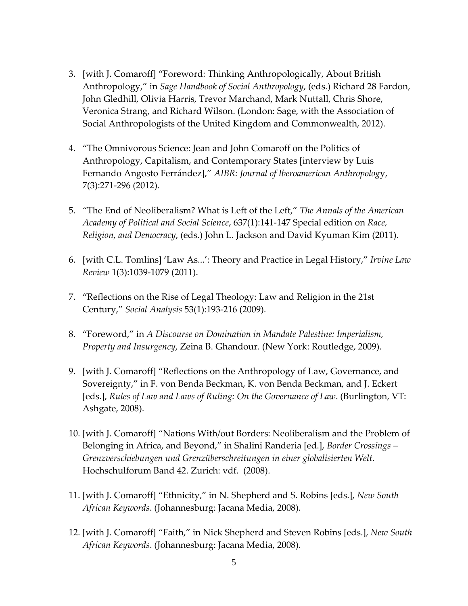- 3. [with J. Comaroff] "Foreword: Thinking Anthropologically, About British Anthropology," in *Sage Handbook of Social Anthropology*, (eds.) Richard 28 Fardon, John Gledhill, Olivia Harris, Trevor Marchand, Mark Nuttall, Chris Shore, Veronica Strang, and Richard Wilson. (London: Sage, with the Association of Social Anthropologists of the United Kingdom and Commonwealth, 2012).
- 4. "The Omnivorous Science: Jean and John Comaroff on the Politics of Anthropology, Capitalism, and Contemporary States [interview by Luis Fernando Angosto Ferrández]," *AIBR: Journal of Iberoamerican Anthropolog*y, 7(3):271-296 (2012).
- 5. "The End of Neoliberalism? What is Left of the Left," *The Annals of the American Academy of Political and Social Science*, 637(1):141-147 Special edition on *Race, Religion, and Democracy*, (eds.) John L. Jackson and David Kyuman Kim (2011).
- 6. [with C.L. Tomlins] 'Law As...': Theory and Practice in Legal History," *Irvine Law Review* 1(3):1039-1079 (2011).
- 7. "Reflections on the Rise of Legal Theology: Law and Religion in the 21st Century," *Social Analysis* 53(1):193-216 (2009).
- 8. "Foreword," in *A Discourse on Domination in Mandate Palestine: Imperialism, Property and Insurgency*, Zeina B. Ghandour. (New York: Routledge, 2009).
- 9. [with J. Comaroff] "Reflections on the Anthropology of Law, Governance, and Sovereignty," in F. von Benda Beckman, K. von Benda Beckman, and J. Eckert [eds.], *Rules of Law and Laws of Ruling: On the Governance of Law*. (Burlington, VT: Ashgate, 2008).
- 10. [with J. Comaroff] "Nations With/out Borders: Neoliberalism and the Problem of Belonging in Africa, and Beyond," in Shalini Randeria [ed.], *Border Crossings – Grenzverschiebungen und Grenzüberschreitungen in einer globalisierten Welt*. Hochschulforum Band 42. Zurich: vdf. (2008).
- 11. [with J. Comaroff] "Ethnicity," in N. Shepherd and S. Robins [eds.], *New South African Keywords*. (Johannesburg: Jacana Media, 2008).
- 12. [with J. Comaroff] "Faith," in Nick Shepherd and Steven Robins [eds.], *New South African Keywords*. (Johannesburg: Jacana Media, 2008).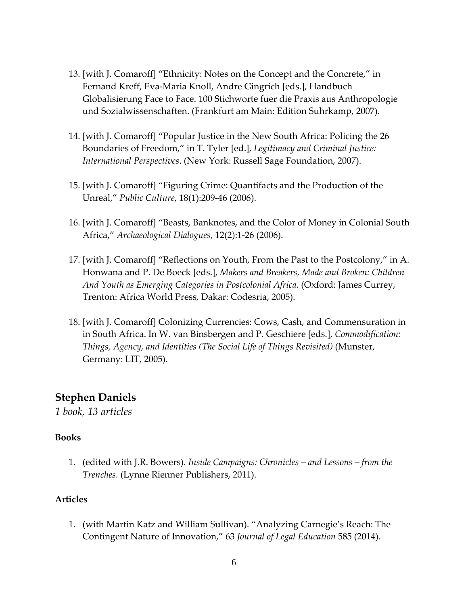- 13. [with J. Comaroff] "Ethnicity: Notes on the Concept and the Concrete," in Fernand Kreff, Eva-Maria Knoll, Andre Gingrich [eds.], Handbuch Globalisierung Face to Face. 100 Stichworte fuer die Praxis aus Anthropologie und Sozialwissenschaften. (Frankfurt am Main: Edition Suhrkamp, 2007).
- 14. [with J. Comaroff] "Popular Justice in the New South Africa: Policing the 26 Boundaries of Freedom," in T. Tyler [ed.], *Legitimacy and Criminal Justice: International Perspectives*. (New York: Russell Sage Foundation, 2007).
- 15. [with J. Comaroff] "Figuring Crime: Quantifacts and the Production of the Unreal," *Public Culture*, 18(1):209-46 (2006).
- 16. [with J. Comaroff] "Beasts, Banknotes, and the Color of Money in Colonial South Africa," *Archaeological Dialogues*, 12(2):1-26 (2006).
- 17. [with J. Comaroff] "Reflections on Youth, From the Past to the Postcolony," in A. Honwana and P. De Boeck [eds.], *Makers and Breakers, Made and Broken: Children And Youth as Emerging Categories in Postcolonial Africa*. (Oxford: James Currey, Trenton: Africa World Press, Dakar: Codesria, 2005).
- 18. [with J. Comaroff] Colonizing Currencies: Cows, Cash, and Commensuration in in South Africa. In W. van Binsbergen and P. Geschiere [eds.], *Commodification: Things, Agency, and Identities (The Social Life of Things Revisited)* (Munster, Germany: LIT, 2005).

### **Stephen Daniels**

*1 book, 13 articles*

#### **Books**

1. (edited with J.R. Bowers). *Inside Campaigns: Chronicles – and Lessons – from the Trenches.* (Lynne Rienner Publishers, 2011).

#### **Articles**

1. (with Martin Katz and William Sullivan). "Analyzing Carnegie's Reach: The Contingent Nature of Innovation," 63 *Journal of Legal Education* 585 (2014).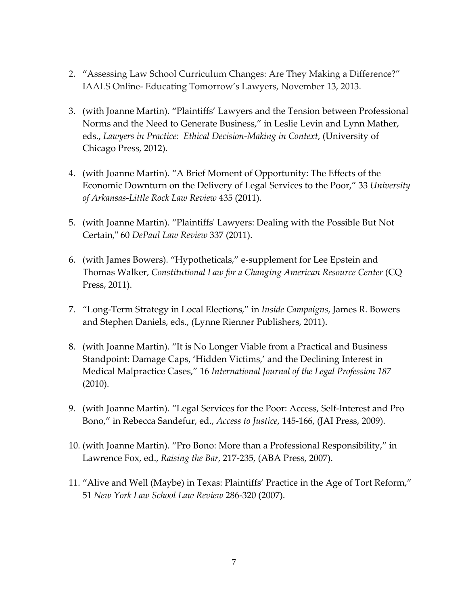- 2. "Assessing Law School Curriculum Changes: Are They Making a Difference?" IAALS Online- Educating Tomorrow's Lawyers, November 13, 2013.
- 3. (with Joanne Martin). "Plaintiffs' Lawyers and the Tension between Professional Norms and the Need to Generate Business," in Leslie Levin and Lynn Mather, eds., *Lawyers in Practice: Ethical Decision-Making in Context*, (University of Chicago Press, 2012).
- 4. (with Joanne Martin). "A Brief Moment of Opportunity: The Effects of the Economic Downturn on the Delivery of Legal Services to the Poor," 33 *University of Arkansas-Little Rock Law Review* 435 (2011).
- 5. (with Joanne Martin). "Plaintiffs' Lawyers: Dealing with the Possible But Not Certain," 60 *DePaul Law Review* 337 (2011).
- 6. (with James Bowers). "Hypotheticals," e-supplement for Lee Epstein and Thomas Walker, *Constitutional Law for a Changing American Resource Center* (CQ Press, 2011).
- 7. "Long-Term Strategy in Local Elections," in *Inside Campaigns*, James R. Bowers and Stephen Daniels, eds., (Lynne Rienner Publishers, 2011).
- 8. (with Joanne Martin). "It is No Longer Viable from a Practical and Business Standpoint: Damage Caps, 'Hidden Victims,' and the Declining Interest in Medical Malpractice Cases," 16 *International Journal of the Legal Profession 187*  (2010).
- 9. (with Joanne Martin). "Legal Services for the Poor: Access, Self-Interest and Pro Bono," in Rebecca Sandefur, ed., *Access to Justice*, 145-166, (JAI Press, 2009).
- 10. (with Joanne Martin). "Pro Bono: More than a Professional Responsibility," in Lawrence Fox, ed., *Raising the Bar*, 217-235, (ABA Press, 2007).
- 11. "Alive and Well (Maybe) in Texas: Plaintiffs' Practice in the Age of Tort Reform," 51 *New York Law School Law Review* 286-320 (2007).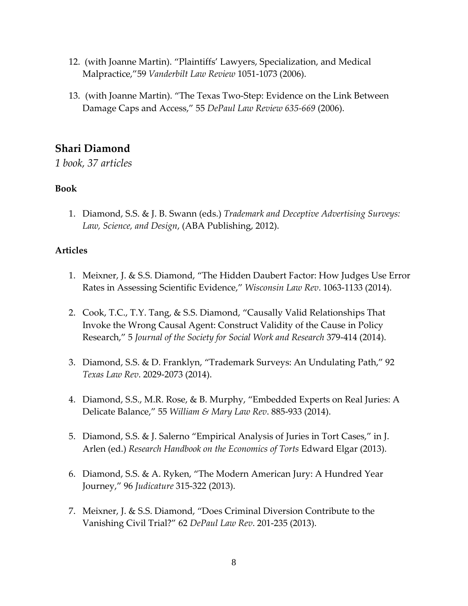- 12. (with Joanne Martin). "Plaintiffs' Lawyers, Specialization, and Medical Malpractice,"59 *Vanderbilt Law Review* 1051-1073 (2006).
- 13. (with Joanne Martin). "The Texas Two-Step: Evidence on the Link Between Damage Caps and Access," 55 *DePaul Law Review 635-669* (2006).

# **Shari Diamond**

*1 book, 37 articles*

#### **Book**

1. Diamond, S.S. & J. B. Swann (eds.) *Trademark and Deceptive Advertising Surveys: Law, Science, and Design*, (ABA Publishing, 2012).

- 1. Meixner, J. & S.S. Diamond, "The Hidden Daubert Factor: How Judges Use Error Rates in Assessing Scientific Evidence," *Wisconsin Law Rev*. 1063-1133 (2014).
- 2. Cook, T.C., T.Y. Tang, & S.S. Diamond, "Causally Valid Relationships That Invoke the Wrong Causal Agent: Construct Validity of the Cause in Policy Research," 5 *Journal of the Society for Social Work and Research* 379-414 (2014).
- 3. Diamond, S.S. & D. Franklyn, "Trademark Surveys: An Undulating Path," 92 *Texas Law Rev*. 2029-2073 (2014).
- 4. Diamond, S.S., M.R. Rose, & B. Murphy, "Embedded Experts on Real Juries: A Delicate Balance," 55 *William & Mary Law Rev*. 885-933 (2014).
- 5. Diamond, S.S. & J. Salerno "Empirical Analysis of Juries in Tort Cases," in J. Arlen (ed.) *Research Handbook on the Economics of Torts* Edward Elgar (2013).
- 6. Diamond, S.S. & A. Ryken, "The Modern American Jury: A Hundred Year Journey," 96 *Judicature* 315-322 (2013).
- 7. Meixner, J. & S.S. Diamond, "Does Criminal Diversion Contribute to the Vanishing Civil Trial?" 62 *DePaul Law Rev*. 201-235 (2013).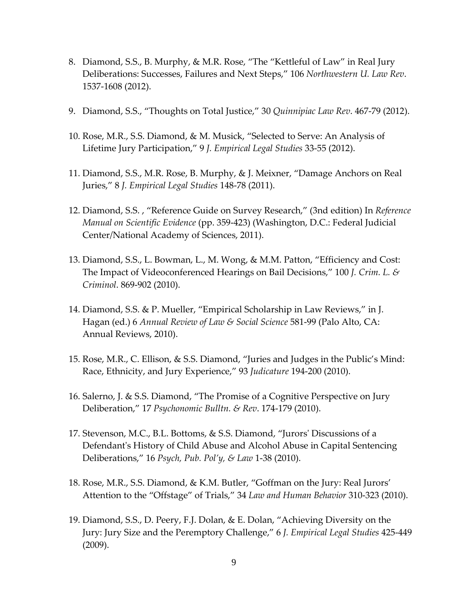- 8. Diamond, S.S., B. Murphy, & M.R. Rose, "The "Kettleful of Law" in Real Jury Deliberations: Successes, Failures and Next Steps," 106 *Northwestern U. Law Rev*. 1537-1608 (2012).
- 9. Diamond, S.S., "Thoughts on Total Justice," 30 *Quinnipiac Law Rev*. 467-79 (2012).
- 10. Rose, M.R., S.S. Diamond, & M. Musick, "Selected to Serve: An Analysis of Lifetime Jury Participation," 9 *J. Empirical Legal Studies* 33-55 (2012).
- 11. Diamond, S.S., M.R. Rose, B. Murphy, & J. Meixner, "Damage Anchors on Real Juries," 8 *J. Empirical Legal Studies* 148-78 (2011).
- 12. Diamond, S.S. , "Reference Guide on Survey Research," (3nd edition) In *Reference Manual on Scientific Evidence* (pp. 359-423) (Washington, D.C.: Federal Judicial Center/National Academy of Sciences, 2011).
- 13. Diamond, S.S., L. Bowman, L., M. Wong, & M.M. Patton, "Efficiency and Cost: The Impact of Videoconferenced Hearings on Bail Decisions," 100 *J. Crim. L. & Criminol*. 869-902 (2010).
- 14. Diamond, S.S. & P. Mueller, "Empirical Scholarship in Law Reviews," in J. Hagan (ed.) 6 *Annual Review of Law & Social Science* 581-99 (Palo Alto, CA: Annual Reviews, 2010).
- 15. Rose, M.R., C. Ellison, & S.S. Diamond, "Juries and Judges in the Public's Mind: Race, Ethnicity, and Jury Experience," 93 *Judicature* 194-200 (2010).
- 16. Salerno, J. & S.S. Diamond, "The Promise of a Cognitive Perspective on Jury Deliberation," 17 *Psychonomic Bulltn. & Rev*. 174-179 (2010).
- 17. Stevenson, M.C., B.L. Bottoms, & S.S. Diamond, "Jurors' Discussions of a Defendant's History of Child Abuse and Alcohol Abuse in Capital Sentencing Deliberations," 16 *Psych, Pub. Pol'y, & Law* 1-38 (2010).
- 18. Rose, M.R., S.S. Diamond, & K.M. Butler, "Goffman on the Jury: Real Jurors' Attention to the "Offstage" of Trials," 34 *Law and Human Behavior* 310-323 (2010).
- 19. Diamond, S.S., D. Peery, F.J. Dolan, & E. Dolan, "Achieving Diversity on the Jury: Jury Size and the Peremptory Challenge," 6 *J. Empirical Legal Studies* 425-449 (2009).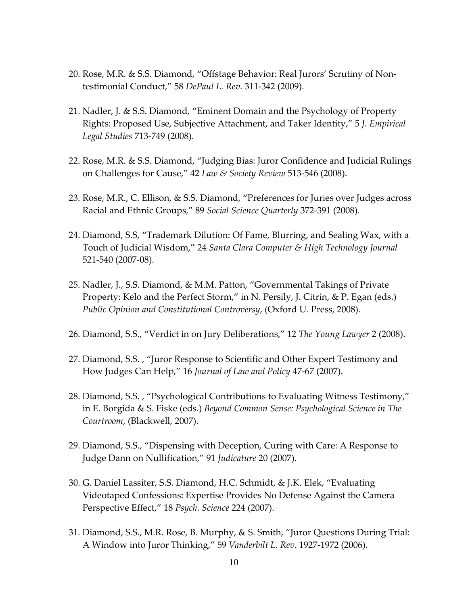- 20. Rose, M.R. & S.S. Diamond, "Offstage Behavior: Real Jurors' Scrutiny of Nontestimonial Conduct," 58 *DePaul L. Rev*. 311-342 (2009).
- 21. Nadler, J. & S.S. Diamond, "Eminent Domain and the Psychology of Property Rights: Proposed Use, Subjective Attachment, and Taker Identity," 5 *J. Empirical Legal Studies* 713-749 (2008).
- 22. Rose, M.R. & S.S. Diamond, "Judging Bias: Juror Confidence and Judicial Rulings on Challenges for Cause," 42 *Law & Society Review* 513-546 (2008).
- 23. Rose, M.R., C. Ellison, & S.S. Diamond, "Preferences for Juries over Judges across Racial and Ethnic Groups," 89 *Social Science Quarterly* 372-391 (2008).
- 24. Diamond, S.S, "Trademark Dilution: Of Fame, Blurring, and Sealing Wax, with a Touch of Judicial Wisdom," 24 *Santa Clara Computer & High Technology Journal* 521-540 (2007-08).
- 25. Nadler, J., S.S. Diamond, & M.M. Patton, "Governmental Takings of Private Property: Kelo and the Perfect Storm," in N. Persily, J. Citrin, & P. Egan (eds.) *Public Opinion and Constitutional Controversy*, (Oxford U. Press, 2008).
- 26. Diamond, S.S., "Verdict in on Jury Deliberations," 12 *The Young Lawyer* 2 (2008).
- 27. Diamond, S.S. , "Juror Response to Scientific and Other Expert Testimony and How Judges Can Help," 16 *Journal of Law and Policy* 47-67 (2007).
- 28. Diamond, S.S. , "Psychological Contributions to Evaluating Witness Testimony," in E. Borgida & S. Fiske (eds.) *Beyond Common Sense: Psychological Science in The Courtroom*, (Blackwell, 2007).
- 29. Diamond, S.S., "Dispensing with Deception, Curing with Care: A Response to Judge Dann on Nullification," 91 *Judicature* 20 (2007).
- 30. G. Daniel Lassiter, S.S. Diamond, H.C. Schmidt, & J.K. Elek, "Evaluating Videotaped Confessions: Expertise Provides No Defense Against the Camera Perspective Effect," 18 *Psych. Science* 224 (2007).
- 31. Diamond, S.S., M.R. Rose, B. Murphy, & S. Smith, "Juror Questions During Trial: A Window into Juror Thinking," 59 *Vanderbilt L. Rev*. 1927-1972 (2006).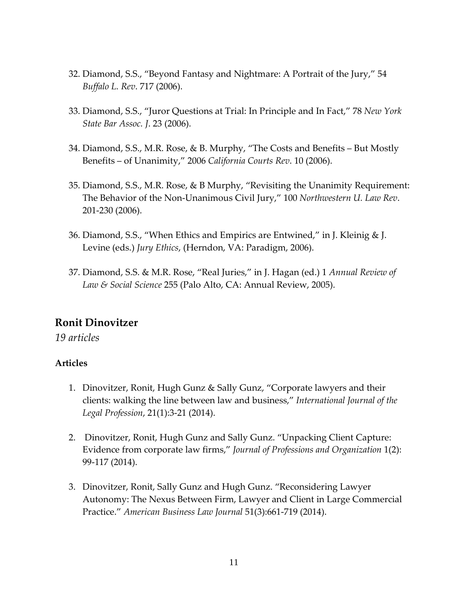- 32. Diamond, S.S., "Beyond Fantasy and Nightmare: A Portrait of the Jury," 54 *Buffalo L. Rev*. 717 (2006).
- 33. Diamond, S.S., "Juror Questions at Trial: In Principle and In Fact," 78 *New York State Bar Assoc. J*. 23 (2006).
- 34. Diamond, S.S., M.R. Rose, & B. Murphy, "The Costs and Benefits But Mostly Benefits – of Unanimity," 2006 *California Courts Rev*. 10 (2006).
- 35. Diamond, S.S., M.R. Rose, & B Murphy, "Revisiting the Unanimity Requirement: The Behavior of the Non-Unanimous Civil Jury," 100 *Northwestern U. Law Rev*. 201-230 (2006).
- 36. Diamond, S.S., "When Ethics and Empirics are Entwined," in J. Kleinig & J. Levine (eds.) *Jury Ethics*, (Herndon, VA: Paradigm, 2006).
- 37. Diamond, S.S. & M.R. Rose, "Real Juries," in J. Hagan (ed.) 1 *Annual Review of Law & Social Science* 255 (Palo Alto, CA: Annual Review, 2005).

# **Ronit Dinovitzer**

*19 articles*

- 1. Dinovitzer, Ronit, Hugh Gunz & Sally Gunz, "Corporate lawyers and their clients: walking the line between law and business," *International Journal of the Legal Profession*, 21(1):3-21 (2014).
- 2. Dinovitzer, Ronit, Hugh Gunz and Sally Gunz. "Unpacking Client Capture: Evidence from corporate law firms," *Journal of Professions and Organization* 1(2): 99-117 (2014).
- 3. Dinovitzer, Ronit, Sally Gunz and Hugh Gunz. "Reconsidering Lawyer Autonomy: The Nexus Between Firm, Lawyer and Client in Large Commercial Practice." *American Business Law Journal* 51(3):661-719 (2014).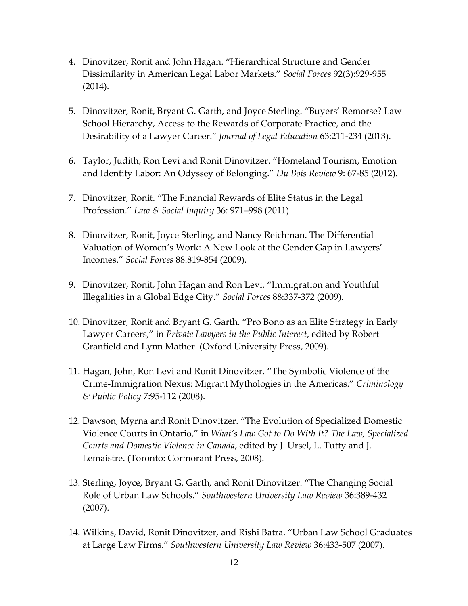- 4. Dinovitzer, Ronit and John Hagan. "Hierarchical Structure and Gender Dissimilarity in American Legal Labor Markets." *Social Forces* 92(3):929-955 (2014).
- 5. Dinovitzer, Ronit, Bryant G. Garth, and Joyce Sterling. "Buyers' Remorse? Law School Hierarchy, Access to the Rewards of Corporate Practice, and the Desirability of a Lawyer Career." *Journal of Legal Education* 63:211-234 (2013).
- 6. Taylor, Judith, Ron Levi and Ronit Dinovitzer. "Homeland Tourism, Emotion and Identity Labor: An Odyssey of Belonging." *Du Bois Review* 9: 67-85 (2012).
- 7. Dinovitzer, Ronit. "The Financial Rewards of Elite Status in the Legal Profession." *Law & Social Inquiry* 36: 971–998 (2011).
- 8. Dinovitzer, Ronit, Joyce Sterling, and Nancy Reichman. The Differential Valuation of Women's Work: A New Look at the Gender Gap in Lawyers' Incomes." *Social Forces* 88:819-854 (2009).
- 9. Dinovitzer, Ronit, John Hagan and Ron Levi. "Immigration and Youthful Illegalities in a Global Edge City." *Social Forces* 88:337-372 (2009).
- 10. Dinovitzer, Ronit and Bryant G. Garth. "Pro Bono as an Elite Strategy in Early Lawyer Careers," in *Private Lawyers in the Public Interest*, edited by Robert Granfield and Lynn Mather. (Oxford University Press, 2009).
- 11. Hagan, John, Ron Levi and Ronit Dinovitzer. "The Symbolic Violence of the Crime-Immigration Nexus: Migrant Mythologies in the Americas." *Criminology & Public Policy* 7:95-112 (2008).
- 12. Dawson, Myrna and Ronit Dinovitzer. "The Evolution of Specialized Domestic Violence Courts in Ontario," in *What's Law Got to Do With It? The Law, Specialized Courts and Domestic Violence in Canada*, edited by J. Ursel, L. Tutty and J. Lemaistre. (Toronto: Cormorant Press, 2008).
- 13. Sterling, Joyce, Bryant G. Garth, and Ronit Dinovitzer. "The Changing Social Role of Urban Law Schools." *Southwestern University Law Review* 36:389-432 (2007).
- 14. Wilkins, David, Ronit Dinovitzer, and Rishi Batra. "Urban Law School Graduates at Large Law Firms." *Southwestern University Law Review* 36:433-507 (2007).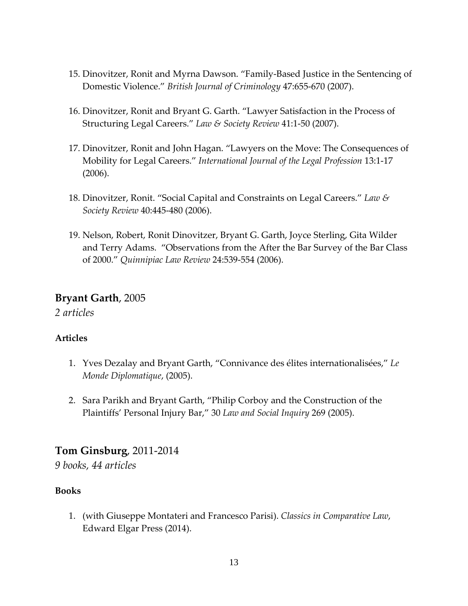- 15. Dinovitzer, Ronit and Myrna Dawson. "Family-Based Justice in the Sentencing of Domestic Violence." *British Journal of Criminology* 47:655-670 (2007).
- 16. Dinovitzer, Ronit and Bryant G. Garth. "Lawyer Satisfaction in the Process of Structuring Legal Careers." *Law & Society Review* 41:1-50 (2007).
- 17. Dinovitzer, Ronit and John Hagan. "Lawyers on the Move: The Consequences of Mobility for Legal Careers." *International Journal of the Legal Profession* 13:1-17 (2006).
- 18. Dinovitzer, Ronit. "Social Capital and Constraints on Legal Careers." *Law & Society Review* 40:445-480 (2006).
- 19. Nelson, Robert, Ronit Dinovitzer, Bryant G. Garth, Joyce Sterling, Gita Wilder and Terry Adams. "Observations from the After the Bar Survey of the Bar Class of 2000." *Quinnipiac Law Review* 24:539-554 (2006).

#### **Bryant Garth**, 2005

*2 articles*

### **Articles**

- 1. Yves Dezalay and Bryant Garth, "Connivance des élites internationalisées," *Le Monde Diplomatique*, (2005).
- 2. Sara Parikh and Bryant Garth, "Philip Corboy and the Construction of the Plaintiffs' Personal Injury Bar," 30 *Law and Social Inquiry* 269 (2005).

### **Tom Ginsburg**, 2011-2014

*9 books, 44 articles*

### **Books**

1. (with Giuseppe Montateri and Francesco Parisi). *Classics in Comparative Law*, Edward Elgar Press (2014).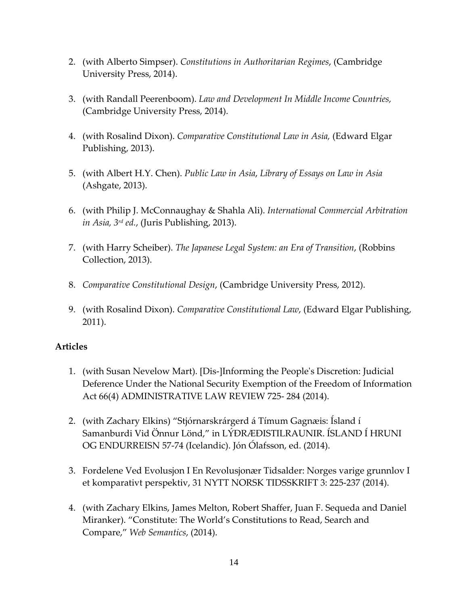- 2. (with Alberto Simpser). *Constitutions in Authoritarian Regimes*, (Cambridge University Press, 2014).
- 3. (with Randall Peerenboom). *Law and Development In Middle Income Countries,*  (Cambridge University Press, 2014).
- 4. (with Rosalind Dixon). *Comparative Constitutional Law in Asia,* (Edward Elgar Publishing, 2013).
- 5. (with Albert H.Y. Chen). *Public Law in Asia*, *Library of Essays on Law in Asia*  (Ashgate, 2013).
- 6. (with Philip J. McConnaughay & Shahla Ali). *International Commercial Arbitration in Asia, 3rd ed.*, (Juris Publishing, 2013).
- 7. (with Harry Scheiber). *The Japanese Legal System: an Era of Transition*, (Robbins Collection, 2013).
- 8. *Comparative Constitutional Design*, (Cambridge University Press, 2012).
- 9. (with Rosalind Dixon). *Comparative Constitutional Law*, (Edward Elgar Publishing, 2011).

- 1. (with Susan Nevelow Mart). [Dis-]Informing the People's Discretion: Judicial Deference Under the National Security Exemption of the Freedom of Information Act 66(4) ADMINISTRATIVE LAW REVIEW 725- 284 (2014).
- 2. (with Zachary Elkins) "Stjórnarskrárgerd á Tímum Gagnæis: Ísland í Samanburdi Vid Önnur Lönd," in LÝÐRÆÐISTILRAUNIR. ÍSLAND Í HRUNI OG ENDURREISN 57-74 (Icelandic). Jón Ólafsson, ed. (2014).
- 3. Fordelene Ved Evolusjon I En Revolusjonær Tidsalder: Norges varige grunnlov I et komparativt perspektiv, 31 NYTT NORSK TIDSSKRIFT 3: 225-237 (2014).
- 4. (with Zachary Elkins, James Melton, Robert Shaffer, Juan F. Sequeda and Daniel Miranker). "Constitute: The World's Constitutions to Read, Search and Compare," *Web Semantics*, (2014).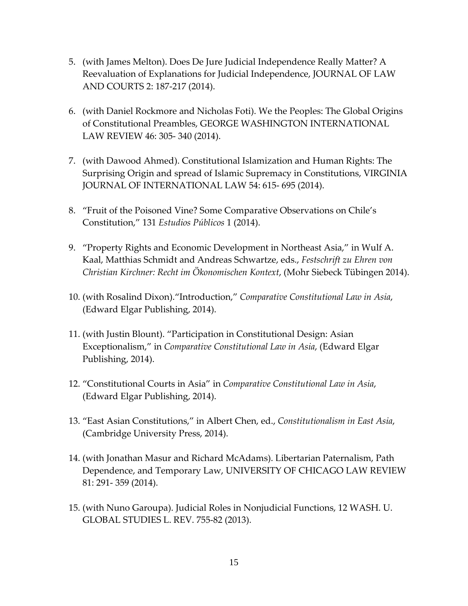- 5. (with James Melton). Does De Jure Judicial Independence Really Matter? A Reevaluation of Explanations for Judicial Independence, JOURNAL OF LAW AND COURTS 2: 187-217 (2014).
- 6. (with Daniel Rockmore and Nicholas Foti). We the Peoples: The Global Origins of Constitutional Preambles, GEORGE WASHINGTON INTERNATIONAL LAW REVIEW 46: 305- 340 (2014).
- 7. (with Dawood Ahmed). Constitutional Islamization and Human Rights: The Surprising Origin and spread of Islamic Supremacy in Constitutions, VIRGINIA JOURNAL OF INTERNATIONAL LAW 54: 615- 695 (2014).
- 8. "Fruit of the Poisoned Vine? Some Comparative Observations on Chile's Constitution," 131 *Estudios Públicos* 1 (2014).
- 9. "Property Rights and Economic Development in Northeast Asia," in Wulf A. Kaal, Matthias Schmidt and Andreas Schwartze, eds., *Festschrift zu Ehren von Christian Kirchner: Recht im Ökonomischen Kontext*, (Mohr Siebeck Tübingen 2014).
- 10. (with Rosalind Dixon)."Introduction," *Comparative Constitutional Law in Asia*, (Edward Elgar Publishing, 2014).
- 11. (with Justin Blount). "Participation in Constitutional Design: Asian Exceptionalism," in *Comparative Constitutional Law in Asia*, (Edward Elgar Publishing, 2014).
- 12. "Constitutional Courts in Asia" in *Comparative Constitutional Law in Asia*, (Edward Elgar Publishing, 2014).
- 13. "East Asian Constitutions," in Albert Chen, ed., *Constitutionalism in East Asia*, (Cambridge University Press, 2014).
- 14. (with Jonathan Masur and Richard McAdams). Libertarian Paternalism, Path Dependence, and Temporary Law, UNIVERSITY OF CHICAGO LAW REVIEW 81: 291- 359 (2014).
- 15. (with Nuno Garoupa). Judicial Roles in Nonjudicial Functions, 12 WASH. U. GLOBAL STUDIES L. REV. 755-82 (2013).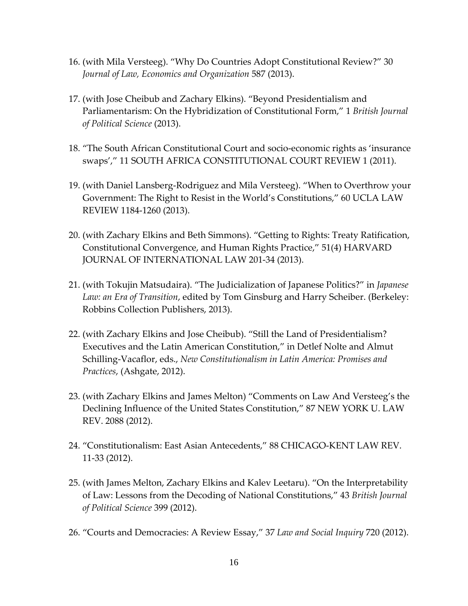- 16. (with Mila Versteeg). "Why Do Countries Adopt Constitutional Review?" 30 *Journal of Law, Economics and Organization* 587 (2013).
- 17. (with Jose Cheibub and Zachary Elkins). "Beyond Presidentialism and Parliamentarism: On the Hybridization of Constitutional Form," 1 *British Journal of Political Science* (2013).
- 18. "The South African Constitutional Court and socio-economic rights as 'insurance swaps'," 11 SOUTH AFRICA CONSTITUTIONAL COURT REVIEW 1 (2011).
- 19. (with Daniel Lansberg-Rodriguez and Mila Versteeg). "When to Overthrow your Government: The Right to Resist in the World's Constitutions," 60 UCLA LAW REVIEW 1184-1260 (2013).
- 20. (with Zachary Elkins and Beth Simmons). "Getting to Rights: Treaty Ratification, Constitutional Convergence, and Human Rights Practice," 51(4) HARVARD JOURNAL OF INTERNATIONAL LAW 201-34 (2013).
- 21. (with Tokujin Matsudaira). "The Judicialization of Japanese Politics?" in *Japanese Law: an Era of Transition*, edited by Tom Ginsburg and Harry Scheiber. (Berkeley: Robbins Collection Publishers, 2013).
- 22. (with Zachary Elkins and Jose Cheibub). "Still the Land of Presidentialism? Executives and the Latin American Constitution," in Detlef Nolte and Almut Schilling-Vacaflor, eds., *New Constitutionalism in Latin America: Promises and Practices*, (Ashgate, 2012).
- 23. (with Zachary Elkins and James Melton) "Comments on Law And Versteeg's the Declining Influence of the United States Constitution," 87 NEW YORK U. LAW REV. 2088 (2012).
- 24. "Constitutionalism: East Asian Antecedents," 88 CHICAGO-KENT LAW REV. 11-33 (2012).
- 25. (with James Melton, Zachary Elkins and Kalev Leetaru). "On the Interpretability of Law: Lessons from the Decoding of National Constitutions," 43 *British Journal of Political Science* 399 (2012).
- 26. "Courts and Democracies: A Review Essay," 37 *Law and Social Inquiry* 720 (2012).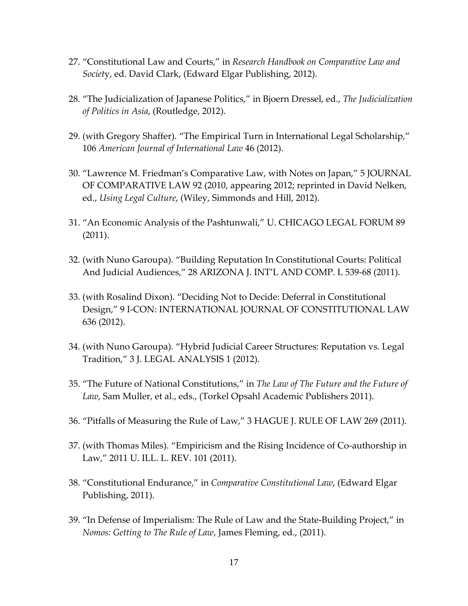- 27. "Constitutional Law and Courts," in *Research Handbook on Comparative Law and Societ*y, ed. David Clark, (Edward Elgar Publishing, 2012).
- 28. "The Judicialization of Japanese Politics," in Bjoern Dressel, ed., *The Judicialization of Politics in Asia*, (Routledge, 2012).
- 29. (with Gregory Shaffer). "The Empirical Turn in International Legal Scholarship," 106 *American Journal of International Law* 46 (2012).
- 30. "Lawrence M. Friedman's Comparative Law, with Notes on Japan," 5 JOURNAL OF COMPARATIVE LAW 92 (2010, appearing 2012; reprinted in David Nelken, ed., *Using Legal Culture*, (Wiley, Simmonds and Hill, 2012).
- 31. "An Economic Analysis of the Pashtunwali," U. CHICAGO LEGAL FORUM 89 (2011).
- 32. (with Nuno Garoupa). "Building Reputation In Constitutional Courts: Political And Judicial Audiences," 28 ARIZONA J. INT'L AND COMP. L 539-68 (2011).
- 33. (with Rosalind Dixon). "Deciding Not to Decide: Deferral in Constitutional Design," 9 I-CON: INTERNATIONAL JOURNAL OF CONSTITUTIONAL LAW 636 (2012).
- 34. (with Nuno Garoupa). "Hybrid Judicial Career Structures: Reputation vs. Legal Tradition," 3 J. LEGAL ANALYSIS 1 (2012).
- 35. "The Future of National Constitutions," in *The Law of The Future and the Future of Law*, Sam Muller, et al., eds., (Torkel Opsahl Academic Publishers 2011).
- 36. "Pitfalls of Measuring the Rule of Law," 3 HAGUE J. RULE OF LAW 269 (2011).
- 37. (with Thomas Miles). "Empiricism and the Rising Incidence of Co-authorship in Law," 2011 U. ILL. L. REV. 101 (2011).
- 38. "Constitutional Endurance," in *Comparative Constitutional Law*, (Edward Elgar Publishing, 2011).
- 39. "In Defense of Imperialism: The Rule of Law and the State-Building Project," in *Nomos: Getting to The Rule of Law*, James Fleming, ed., (2011).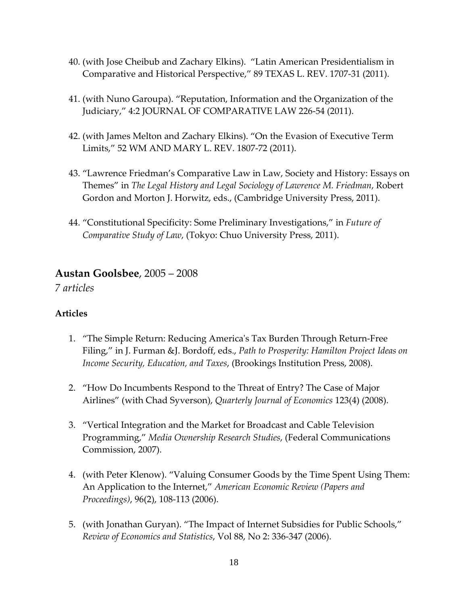- 40. (with Jose Cheibub and Zachary Elkins). "Latin American Presidentialism in Comparative and Historical Perspective," 89 TEXAS L. REV. 1707-31 (2011).
- 41. (with Nuno Garoupa). "Reputation, Information and the Organization of the Judiciary," 4:2 JOURNAL OF COMPARATIVE LAW 226-54 (2011).
- 42. (with James Melton and Zachary Elkins). "On the Evasion of Executive Term Limits," 52 WM AND MARY L. REV. 1807-72 (2011).
- 43. "Lawrence Friedman's Comparative Law in Law, Society and History: Essays on Themes" in *The Legal History and Legal Sociology of Lawrence M. Friedman*, Robert Gordon and Morton J. Horwitz, eds., (Cambridge University Press, 2011).
- 44. "Constitutional Specificity: Some Preliminary Investigations," in *Future of Comparative Study of Law*, (Tokyo: Chuo University Press, 2011).

### **Austan Goolsbee**, 2005 – 2008

*7 articles*

- 1. "The Simple Return: Reducing America's Tax Burden Through Return-Free Filing," in J. Furman &J. Bordoff, eds., *Path to Prosperity: Hamilton Project Ideas on Income Security, Education, and Taxes*, (Brookings Institution Press, 2008).
- 2. "How Do Incumbents Respond to the Threat of Entry? The Case of Major Airlines" (with Chad Syverson), *Quarterly Journal of Economics* 123(4) (2008).
- 3. "Vertical Integration and the Market for Broadcast and Cable Television Programming," *Media Ownership Research Studies*, (Federal Communications Commission, 2007).
- 4. (with Peter Klenow). "Valuing Consumer Goods by the Time Spent Using Them: An Application to the Internet," *American Economic Review (Papers and Proceedings)*, 96(2), 108-113 (2006).
- 5. (with Jonathan Guryan). "The Impact of Internet Subsidies for Public Schools," *Review of Economics and Statistics*, Vol 88, No 2: 336-347 (2006).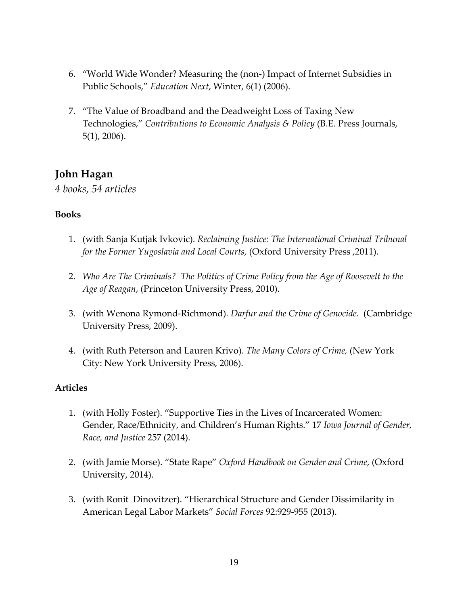- 6. "World Wide Wonder? Measuring the (non-) Impact of Internet Subsidies in Public Schools," *Education Next*, Winter, 6(1) (2006).
- 7. "The Value of Broadband and the Deadweight Loss of Taxing New Technologies," *Contributions to Economic Analysis & Policy* (B.E. Press Journals, 5(1), 2006).

# **John Hagan**

*4 books, 54 articles*

#### **Books**

- 1. (with Sanja Kutjak Ivkovic). *Reclaiming Justice: The International Criminal Tribunal for the Former Yugoslavia and Local Courts,* (Oxford University Press ,2011).
- 2. *Who Are The Criminals? The Politics of Crime Policy from the Age of Roosevelt to the Age of Reagan*, (Princeton University Press, 2010).
- 3. (with Wenona Rymond-Richmond). *Darfur and the Crime of Genocide.* (Cambridge University Press, 2009).
- 4. (with Ruth Peterson and Lauren Krivo). *The Many Colors of Crime,* (New York City: New York University Press, 2006).

- 1. (with Holly Foster). "Supportive Ties in the Lives of Incarcerated Women: Gender, Race/Ethnicity, and Children's Human Rights." 17 *Iowa Journal of Gender, Race, and Justice* 257 (2014).
- 2. (with Jamie Morse). "State Rape" *Oxford Handbook on Gender and Crime*, (Oxford University, 2014).
- 3. (with RonitDinovitzer). "Hierarchical Structure and Gender Dissimilarity in American Legal Labor Markets" *Social Forces* 92:929-955 (2013).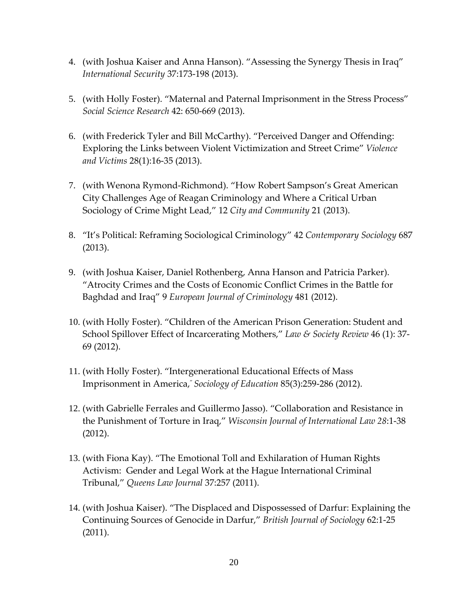- 4. (with Joshua Kaiser and Anna Hanson). "Assessing the Synergy Thesis in Iraq" *International Security* 37:173-198 (2013).
- 5. (with Holly Foster). "Maternal and Paternal Imprisonment in the Stress Process" *Social Science Research* 42: 650-669 (2013).
- 6. (with Frederick Tyler and Bill McCarthy). "Perceived Danger and Offending: Exploring the Links between Violent Victimization and Street Crime" *Violence and Victims* 28(1):16-35 (2013).
- 7. (with Wenona Rymond-Richmond). "How Robert Sampson's Great American City Challenges Age of Reagan Criminology and Where a Critical Urban Sociology of Crime Might Lead," 12 *City and Community* 21 (2013).
- 8. "It's Political: Reframing Sociological Criminology" 42 *Contemporary Sociology* 687 (2013).
- 9. (with Joshua Kaiser, Daniel Rothenberg, Anna Hanson and Patricia Parker). "Atrocity Crimes and the Costs of Economic Conflict Crimes in the Battle for Baghdad and Iraq" 9 *European Journal of Criminology* 481 (2012).
- 10. (with Holly Foster). "Children of the American Prison Generation: Student and School Spillover Effect of Incarcerating Mothers," *Law & Society Review* 46 (1): 37- 69 (2012).
- 11. (with Holly Foster). "Intergenerational Educational Effects of Mass Imprisonment in America," *Sociology of Education* 85(3):259-286 (2012).
- 12. (with Gabrielle Ferrales and Guillermo Jasso). "Collaboration and Resistance in the Punishment of Torture in Iraq," *Wisconsin Journal of International Law 28*:1-38 (2012).
- 13. (with Fiona Kay). "The Emotional Toll and Exhilaration of Human Rights Activism: Gender and Legal Work at the Hague International Criminal Tribunal," *Queens Law Journal* 37:257 (2011).
- 14. (with Joshua Kaiser). "The Displaced and Dispossessed of Darfur: Explaining the Continuing Sources of Genocide in Darfur," *British Journal of Sociology* 62:1-25 (2011).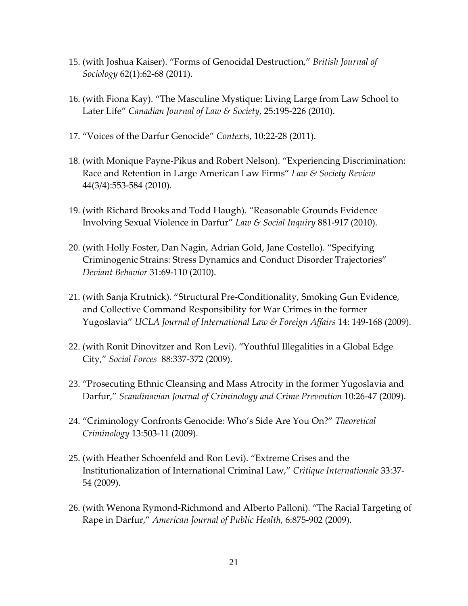- 15. (with Joshua Kaiser). "Forms of Genocidal Destruction," *British Journal of Sociology* 62(1):62-68 (2011).
- 16. (with Fiona Kay). "The Masculine Mystique: Living Large from Law School to Later Life" *Canadian Journal of Law & Society*, 25:195-226 (2010).
- 17. "Voices of the Darfur Genocide" *Contexts*, 10:22-28 (2011).
- 18. (with Monique Payne-Pikus and Robert Nelson). "Experiencing Discrimination: Race and Retention in Large American Law Firms" *Law & Society Review*  44(3/4):553-584 (2010).
- 19. (with Richard Brooks and Todd Haugh). "Reasonable Grounds Evidence Involving Sexual Violence in Darfur" *Law & Social Inquiry* 881-917 (2010).
- 20. (with Holly Foster, Dan Nagin, Adrian Gold, Jane Costello). "Specifying Criminogenic Strains: Stress Dynamics and Conduct Disorder Trajectories" *Deviant Behavior* 31:69-110 (2010).
- 21. (with Sanja Krutnick). "Structural Pre-Conditionality, Smoking Gun Evidence, and Collective Command Responsibility for War Crimes in the former Yugoslavia" *UCLA Journal of International Law & Foreign Affairs* 14: 149-168 (2009).
- 22. (with Ronit Dinovitzer and Ron Levi). "Youthful Illegalities in a Global Edge City," *Social Forces* 88:337-372 (2009).
- 23. "Prosecuting Ethnic Cleansing and Mass Atrocity in the former Yugoslavia and Darfur," *Scandinavian Journal of Criminology and Crime Prevention* 10:26-47 (2009).
- 24. "Criminology Confronts Genocide: Who's Side Are You On?" *Theoretical Criminology* 13:503-11 (2009).
- 25. (with Heather Schoenfeld and Ron Levi). "Extreme Crises and the Institutionalization of International Criminal Law," *Critique Internationale* 33:37- 54 (2009).
- 26. (with Wenona Rymond-Richmond and Alberto Palloni). "The Racial Targeting of Rape in Darfur," *American Journal of Public Health*, 6:875-902 (2009).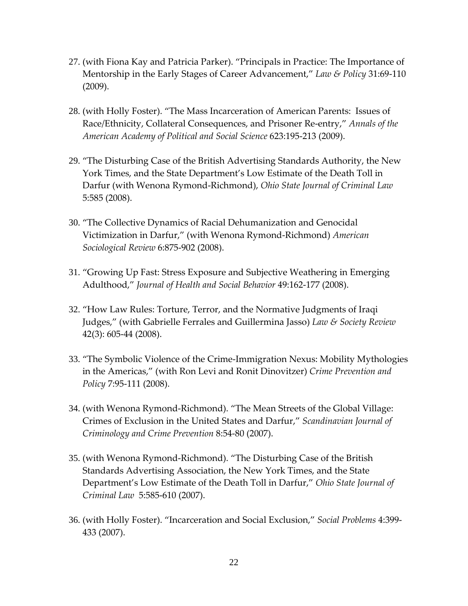- 27. (with Fiona Kay and Patricia Parker). "Principals in Practice: The Importance of Mentorship in the Early Stages of Career Advancement," *Law & Policy* 31:69-110 (2009).
- 28. (with Holly Foster). "The Mass Incarceration of American Parents: Issues of Race/Ethnicity, Collateral Consequences, and Prisoner Re-entry," *Annals of the American Academy of Political and Social Science* 623:195-213 (2009).
- 29. "The Disturbing Case of the British Advertising Standards Authority, the New York Times, and the State Department's Low Estimate of the Death Toll in Darfur (with Wenona Rymond-Richmond), *Ohio State Journal of Criminal Law*  5:585 (2008).
- 30. "The Collective Dynamics of Racial Dehumanization and Genocidal Victimization in Darfur," (with Wenona Rymond-Richmond) *American Sociological Review* 6:875-902 (2008).
- 31. "Growing Up Fast: Stress Exposure and Subjective Weathering in Emerging Adulthood," *Journal of Health and Social Behavior* 49:162-177 (2008).
- 32. "How Law Rules: Torture, Terror, and the Normative Judgments of Iraqi Judges," (with Gabrielle Ferrales and Guillermina Jasso) *Law & Society Review* 42(3): 605-44 (2008).
- 33. "The Symbolic Violence of the Crime-Immigration Nexus: Mobility Mythologies in the Americas," (with Ron Levi and Ronit Dinovitzer) *Crime Prevention and Policy* 7:95-111 (2008).
- 34. (with Wenona Rymond-Richmond). "The Mean Streets of the Global Village: Crimes of Exclusion in the United States and Darfur," *Scandinavian Journal of Criminology and Crime Prevention* 8:54-80 (2007).
- 35. (with Wenona Rymond-Richmond). "The Disturbing Case of the British Standards Advertising Association, the New York Times, and the State Department's Low Estimate of the Death Toll in Darfur," *Ohio State Journal of Criminal Law* 5:585-610 (2007).
- 36. (with Holly Foster). "Incarceration and Social Exclusion," *Social Problems* 4:399- 433 (2007).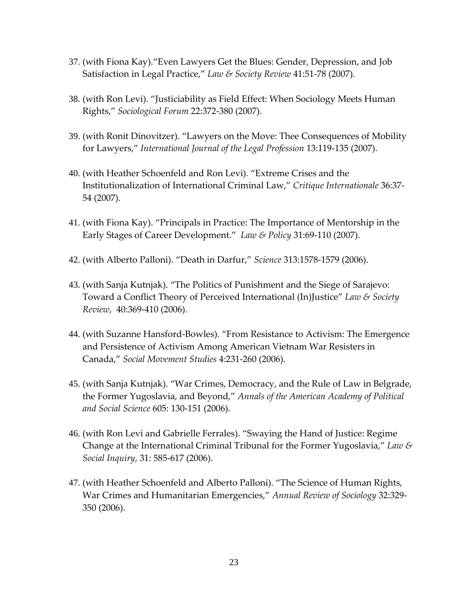- 37. (with Fiona Kay)."Even Lawyers Get the Blues: Gender, Depression, and Job Satisfaction in Legal Practice," *Law & Society Review* 41:51-78 (2007).
- 38. (with Ron Levi). "Justiciability as Field Effect: When Sociology Meets Human Rights," *Sociological Forum* 22:372-380 (2007).
- 39. (with Ronit Dinovitzer). "Lawyers on the Move: Thee Consequences of Mobility for Lawyers," *International Journal of the Legal Profession* 13:119-135 (2007).
- 40. (with Heather Schoenfeld and Ron Levi). "Extreme Crises and the Institutionalization of International Criminal Law," *Critique Internationale* 36:37- 54 (2007).
- 41. (with Fiona Kay). "Principals in Practice: The Importance of Mentorship in the Early Stages of Career Development." *Law & Policy* 31:69-110 (2007).
- 42. (with Alberto Palloni). "Death in Darfur," *Science* 313:1578-1579 (2006).
- 43. (with Sanja Kutnjak). "The Politics of Punishment and the Siege of Sarajevo: Toward a Conflict Theory of Perceived International (In)Justice" *Law & Society Review*, 40:369-410 (2006).
- 44. (with Suzanne Hansford-Bowles). "From Resistance to Activism: The Emergence and Persistence of Activism Among American Vietnam War Resisters in Canada," *Social Movement Studies* 4:231-260 (2006).
- 45. (with Sanja Kutnjak). "War Crimes, Democracy, and the Rule of Law in Belgrade, the Former Yugoslavia, and Beyond," *Annals of the American Academy of Political and Social Science* 605: 130-151 (2006).
- 46. (with Ron Levi and Gabrielle Ferrales). "Swaying the Hand of Justice: Regime Change at the International Criminal Tribunal for the Former Yugoslavia," *Law & Social Inquiry*, 31: 585-617 (2006).
- 47. (with Heather Schoenfeld and Alberto Palloni). "The Science of Human Rights, War Crimes and Humanitarian Emergencies," *Annual Review of Sociology* 32:329- 350 (2006).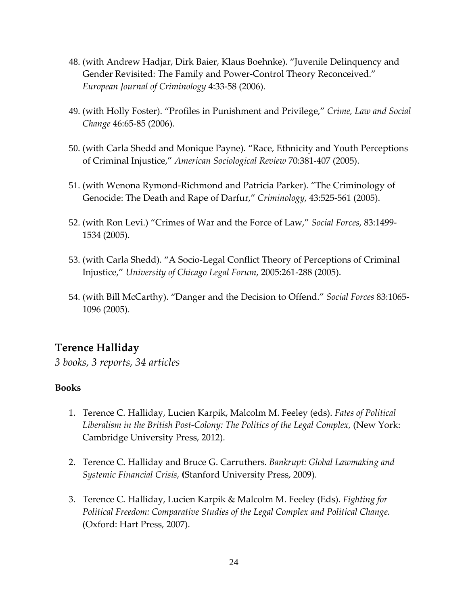- 48. (with Andrew Hadjar, Dirk Baier, Klaus Boehnke). "Juvenile Delinquency and Gender Revisited: The Family and Power-Control Theory Reconceived." *European Journal of Criminology* 4:33-58 (2006).
- 49. (with Holly Foster). "Profiles in Punishment and Privilege," *Crime, Law and Social Change* 46:65-85 (2006).
- 50. (with Carla Shedd and Monique Payne). "Race, Ethnicity and Youth Perceptions of Criminal Injustice," *American Sociological Review* 70:381-407 (2005).
- 51. (with Wenona Rymond-Richmond and Patricia Parker). "The Criminology of Genocide: The Death and Rape of Darfur," *Criminology*, 43:525-561 (2005).
- 52. (with Ron Levi.) "Crimes of War and the Force of Law," *Social Forces*, 83:1499- 1534 (2005).
- 53. (with Carla Shedd). "A Socio-Legal Conflict Theory of Perceptions of Criminal Injustice," *University of Chicago Legal Forum*, 2005:261-288 (2005).
- 54. (with Bill McCarthy). "Danger and the Decision to Offend." *Social Forces* 83:1065- 1096 (2005).

# **Terence Halliday**

*3 books, 3 reports, 34 articles*

#### **Books**

- 1. Terence C. Halliday, Lucien Karpik, Malcolm M. Feeley (eds). *Fates of Political Liberalism in the British Post-Colony: The Politics of the Legal Complex,* (New York: Cambridge University Press, 2012).
- 2. Terence C. Halliday and Bruce G. Carruthers. *Bankrupt: Global Lawmaking and Systemic Financial Crisis,* **(**Stanford University Press, 2009).
- 3. Terence C. Halliday, Lucien Karpik & Malcolm M. Feeley (Eds). *Fighting for Political Freedom: Comparative Studies of the Legal Complex and Political Change.*  (Oxford: Hart Press, 2007).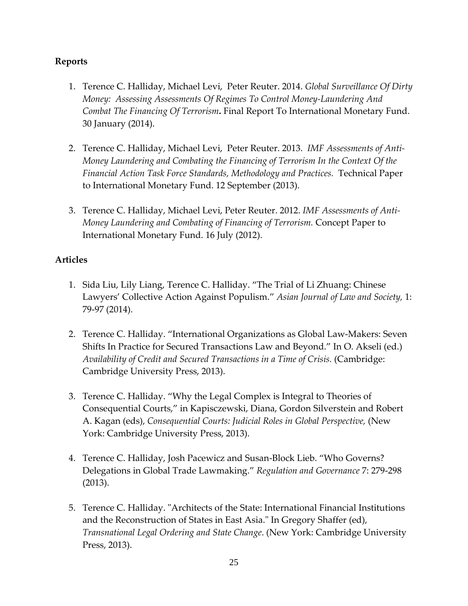#### **Reports**

- 1. Terence C. Halliday, Michael Levi, Peter Reuter. 2014. *Global Surveillance Of Dirty Money: Assessing Assessments Of Regimes To Control Money-Laundering And Combat The Financing Of Terrorism***.** Final Report To International Monetary Fund. 30 January (2014).
- 2. Terence C. Halliday, Michael Levi, Peter Reuter. 2013. *IMF Assessments of Anti-Money Laundering and Combating the Financing of Terrorism In the Context Of the Financial Action Task Force Standards, Methodology and Practices.* Technical Paper to International Monetary Fund. 12 September (2013).
- 3. Terence C. Halliday, Michael Levi, Peter Reuter. 2012. *IMF Assessments of Anti-Money Laundering and Combating of Financing of Terrorism.* Concept Paper to International Monetary Fund. 16 July (2012).

- 1. Sida Liu, Lily Liang, Terence C. Halliday. "The Trial of Li Zhuang: Chinese Lawyers' Collective Action Against Populism." *Asian Journal of Law and Society,* 1: 79-97 (2014).
- 2. Terence C. Halliday. "International Organizations as Global Law-Makers: Seven Shifts In Practice for Secured Transactions Law and Beyond." In O. Akseli (ed.) *Availability of Credit and Secured Transactions in a Time of Crisis.* (Cambridge: Cambridge University Press, 2013).
- 3. Terence C. Halliday. "Why the Legal Complex is Integral to Theories of Consequential Courts," in Kapisczewski, Diana, Gordon Silverstein and Robert A. Kagan (eds), *Consequential Courts: Judicial Roles in Global Perspective,* (New York: Cambridge University Press, 2013).
- 4. Terence C. Halliday, Josh Pacewicz and Susan-Block Lieb. "Who Governs? Delegations in Global Trade Lawmaking." *Regulation and Governance* 7: 279-298 (2013).
- 5. Terence C. Halliday. "Architects of the State: International Financial Institutions and the Reconstruction of States in East Asia." In Gregory Shaffer (ed), *Transnational Legal Ordering and State Change*. (New York: Cambridge University Press, 2013).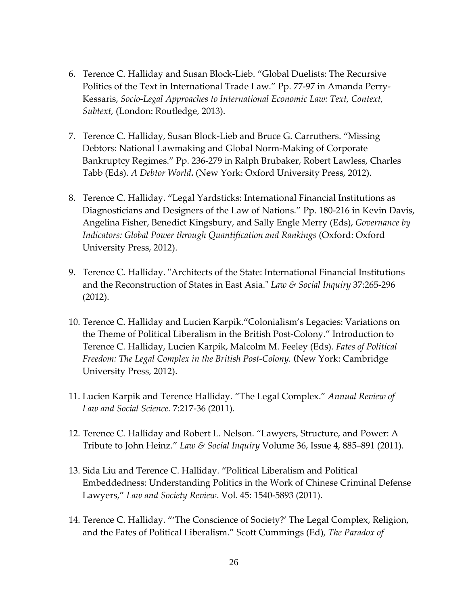- 6. Terence C. Halliday and Susan Block-Lieb. "Global Duelists: The Recursive Politics of the Text in International Trade Law." Pp. 77-97 in Amanda Perry-Kessaris, *Socio-Legal Approaches to International Economic Law: Text, Context, Subtext,* (London: Routledge, 2013).
- 7. Terence C. Halliday, Susan Block-Lieb and Bruce G. Carruthers. "Missing Debtors: National Lawmaking and Global Norm-Making of Corporate Bankruptcy Regimes." Pp. 236-279 in Ralph Brubaker, Robert Lawless, Charles Tabb (Eds). *A Debtor World***.** (New York: Oxford University Press, 2012).
- 8. Terence C. Halliday. "Legal Yardsticks: International Financial Institutions as Diagnosticians and Designers of the Law of Nations." Pp. 180-216 in Kevin Davis, Angelina Fisher, Benedict Kingsbury, and Sally Engle Merry (Eds), *Governance by Indicators: Global Power through Quantification and Rankings* (Oxford: Oxford University Press, 2012).
- 9. Terence C. Halliday. "Architects of the State: International Financial Institutions and the Reconstruction of States in East Asia." *Law & Social Inquiry* 37:265-296 (2012).
- 10. Terence C. Halliday and Lucien Karpik."Colonialism's Legacies: Variations on the Theme of Political Liberalism in the British Post-Colony." Introduction to Terence C. Halliday, Lucien Karpik, Malcolm M. Feeley (Eds). *Fates of Political Freedom: The Legal Complex in the British Post-Colony.* **(**New York: Cambridge University Press, 2012).
- 11. Lucien Karpik and Terence Halliday. "The Legal Complex." *Annual Review of Law and Social Science.* 7:217-36 (2011).
- 12. Terence C. Halliday and Robert L. Nelson. "Lawyers, Structure, and Power: A Tribute to John Heinz." *Law & Social Inquiry* Volume 36, Issue 4, 885–891 (2011).
- 13. Sida Liu and Terence C. Halliday. "Political Liberalism and Political Embeddedness: Understanding Politics in the Work of Chinese Criminal Defense Lawyers," *Law and Society Review*. Vol. 45: 1540-5893 (2011).
- 14. Terence C. Halliday. "'The Conscience of Society?' The Legal Complex, Religion, and the Fates of Political Liberalism." Scott Cummings (Ed), *The Paradox of*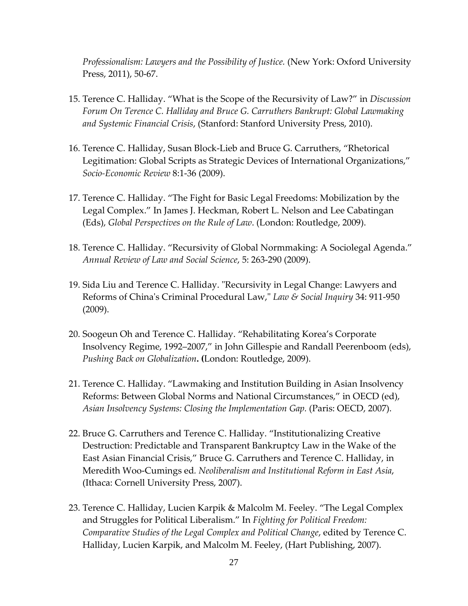*Professionalism: Lawyers and the Possibility of Justice.* (New York: Oxford University Press, 2011), 50-67.

- 15. Terence C. Halliday. "What is the Scope of the Recursivity of Law?" in *Discussion Forum On Terence C. Halliday and Bruce G. Carruthers Bankrupt: Global Lawmaking and Systemic Financial Crisis*, (Stanford: Stanford University Press, 2010).
- 16. Terence C. Halliday, Susan Block-Lieb and Bruce G. Carruthers, "Rhetorical Legitimation: Global Scripts as Strategic Devices of International Organizations," *Socio-Economic Review* 8:1-36 (2009).
- 17. Terence C. Halliday. "The Fight for Basic Legal Freedoms: Mobilization by the Legal Complex." In James J. Heckman, Robert L. Nelson and Lee Cabatingan (Eds), *Global Perspectives on the Rule of Law*. (London: Routledge, 2009).
- 18. Terence C. Halliday. "Recursivity of Global Normmaking: A Sociolegal Agenda." *Annual Review of Law and Social Science*, 5: 263-290 (2009).
- 19. Sida Liu and Terence C. Halliday. "Recursivity in Legal Change: Lawyers and Reforms of China's Criminal Procedural Law," *Law & Social Inquiry* 34: 911-950 (2009).
- 20. Soogeun Oh and Terence C. Halliday. "Rehabilitating Korea's Corporate Insolvency Regime, 1992–2007," in John Gillespie and Randall Peerenboom (eds), *Pushing Back on Globalization***. (**London: Routledge, 2009).
- 21. Terence C. Halliday. "Lawmaking and Institution Building in Asian Insolvency Reforms: Between Global Norms and National Circumstances," in OECD (ed), *Asian Insolvency Systems: Closing the Implementation Gap.* (Paris: OECD, 2007).
- 22. Bruce G. Carruthers and Terence C. Halliday. "Institutionalizing Creative Destruction: Predictable and Transparent Bankruptcy Law in the Wake of the East Asian Financial Crisis," Bruce G. Carruthers and Terence C. Halliday, in Meredith Woo-Cumings ed*. Neoliberalism and Institutional Reform in East Asia*, (Ithaca: Cornell University Press, 2007).
- 23. Terence C. Halliday, Lucien Karpik & Malcolm M. Feeley. "The Legal Complex and Struggles for Political Liberalism." In *Fighting for Political Freedom: Comparative Studies of the Legal Complex and Political Change*, edited by Terence C. Halliday, Lucien Karpik, and Malcolm M. Feeley, (Hart Publishing, 2007).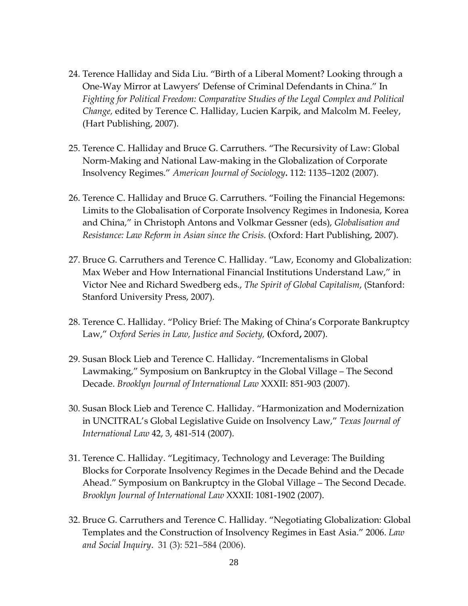- 24. Terence Halliday and Sida Liu. "Birth of a Liberal Moment? Looking through a One-Way Mirror at Lawyers' Defense of Criminal Defendants in China." In *Fighting for Political Freedom: Comparative Studies of the Legal Complex and Political Change,* edited by Terence C. Halliday, Lucien Karpik, and Malcolm M. Feeley, (Hart Publishing, 2007).
- 25. Terence C. Halliday and Bruce G. Carruthers. "The Recursivity of Law: Global Norm-Making and National Law-making in the Globalization of Corporate Insolvency Regimes." *American Journal of Sociology***.** 112: 1135–1202 (2007).
- 26. Terence C. Halliday and Bruce G. Carruthers. "Foiling the Financial Hegemons: Limits to the Globalisation of Corporate Insolvency Regimes in Indonesia, Korea and China," in Christoph Antons and Volkmar Gessner (eds), *Globalisation and Resistance: Law Reform in Asian since the Crisis.* (Oxford: Hart Publishing, 2007).
- 27. Bruce G. Carruthers and Terence C. Halliday. "Law, Economy and Globalization: Max Weber and How International Financial Institutions Understand Law," in Victor Nee and Richard Swedberg eds., *The Spirit of Global Capitalism*, (Stanford: Stanford University Press, 2007).
- 28. Terence C. Halliday. "Policy Brief: The Making of China's Corporate Bankruptcy Law," *Oxford Series in Law, Justice and Society,* **(**Oxford**,** 2007).
- 29. Susan Block Lieb and Terence C. Halliday. "Incrementalisms in Global Lawmaking," Symposium on Bankruptcy in the Global Village – The Second Decade. *Brooklyn Journal of International Law* XXXII: 851-903 (2007).
- 30. Susan Block Lieb and Terence C. Halliday. "Harmonization and Modernization in UNCITRAL's Global Legislative Guide on Insolvency Law," *Texas Journal of International Law* 42, 3, 481-514 (2007).
- 31. Terence C. Halliday. "Legitimacy, Technology and Leverage: The Building Blocks for Corporate Insolvency Regimes in the Decade Behind and the Decade Ahead." Symposium on Bankruptcy in the Global Village – The Second Decade. *Brooklyn Journal of International Law* XXXII: 1081-1902 (2007).
- 32. Bruce G. Carruthers and Terence C. Halliday. "Negotiating Globalization: Global Templates and the Construction of Insolvency Regimes in East Asia." 2006. *Law and Social Inquiry*. 31 (3): 521–584 (2006).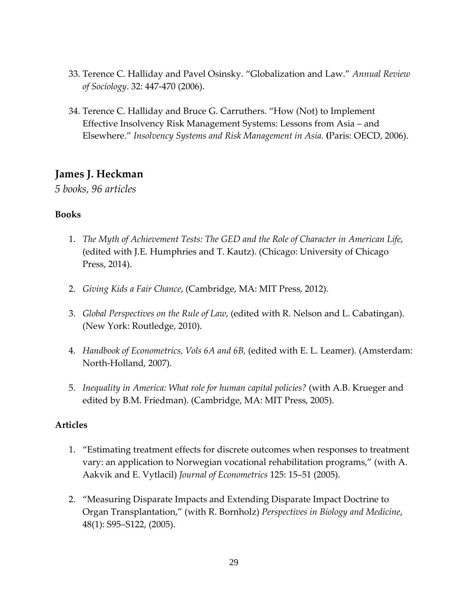- 33. Terence C. Halliday and Pavel Osinsky. "Globalization and Law." *Annual Review of Sociology*. 32: 447-470 (2006).
- 34. Terence C. Halliday and Bruce G. Carruthers. "How (Not) to Implement Effective Insolvency Risk Management Systems: Lessons from Asia – and Elsewhere." *Insolvency Systems and Risk Management in Asia.* **(**Paris: OECD, 2006).

### **James J. Heckman**

*5 books, 96 articles*

#### **Books**

- 1. *The Myth of Achievement Tests: The GED and the Role of Character in American Life*, (edited with J.E. Humphries and T. Kautz). (Chicago: University of Chicago Press, 2014).
- 2. *Giving Kids a Fair Chance*, (Cambridge, MA: MIT Press, 2012).
- 3. *Global Perspectives on the Rule of Law*, (edited with R. Nelson and L. Cabatingan). (New York: Routledge, 2010).
- 4. *Handbook of Econometrics, Vols 6A and 6B,* (edited with E. L. Leamer). (Amsterdam: North-Holland, 2007).
- 5. *Inequality in America: What role for human capital policies?* (with A.B. Krueger and edited by B.M. Friedman). (Cambridge, MA: MIT Press, 2005).

- 1. "Estimating treatment effects for discrete outcomes when responses to treatment vary: an application to Norwegian vocational rehabilitation programs," (with A. Aakvik and E. Vytlacil) *Journal of Econometrics* 125: 15–51 (2005).
- 2. "Measuring Disparate Impacts and Extending Disparate Impact Doctrine to Organ Transplantation," (with R. Bornholz) *Perspectives in Biology and Medicine*, 48(1): S95–S122, (2005).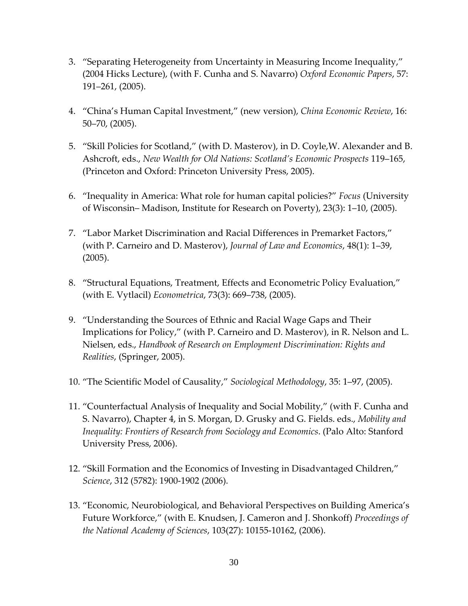- 3. "Separating Heterogeneity from Uncertainty in Measuring Income Inequality," (2004 Hicks Lecture), (with F. Cunha and S. Navarro) *Oxford Economic Papers*, 57: 191–261, (2005).
- 4. "China's Human Capital Investment," (new version), *China Economic Review*, 16: 50–70, (2005).
- 5. "Skill Policies for Scotland," (with D. Masterov), in D. Coyle,W. Alexander and B. Ashcroft, eds., *New Wealth for Old Nations: Scotland's Economic Prospects* 119–165, (Princeton and Oxford: Princeton University Press, 2005).
- 6. "Inequality in America: What role for human capital policies?" *Focus* (University of Wisconsin– Madison, Institute for Research on Poverty), 23(3): 1–10, (2005).
- 7. "Labor Market Discrimination and Racial Differences in Premarket Factors," (with P. Carneiro and D. Masterov), *Journal of Law and Economics*, 48(1): 1–39, (2005).
- 8. "Structural Equations, Treatment, Effects and Econometric Policy Evaluation," (with E. Vytlacil) *Econometrica*, 73(3): 669–738, (2005).
- 9. "Understanding the Sources of Ethnic and Racial Wage Gaps and Their Implications for Policy," (with P. Carneiro and D. Masterov), in R. Nelson and L. Nielsen, eds., *Handbook of Research on Employment Discrimination: Rights and Realities*, (Springer, 2005).
- 10. "The Scientific Model of Causality," *Sociological Methodology*, 35: 1–97, (2005).
- 11. "Counterfactual Analysis of Inequality and Social Mobility," (with F. Cunha and S. Navarro), Chapter 4, in S. Morgan, D. Grusky and G. Fields. eds., *Mobility and Inequality: Frontiers of Research from Sociology and Economics*. (Palo Alto: Stanford University Press, 2006).
- 12. "Skill Formation and the Economics of Investing in Disadvantaged Children," *Science*, 312 (5782): 1900-1902 (2006).
- 13. "Economic, Neurobiological, and Behavioral Perspectives on Building America's Future Workforce," (with E. Knudsen, J. Cameron and J. Shonkoff) *Proceedings of the National Academy of Sciences*, 103(27): 10155-10162, (2006).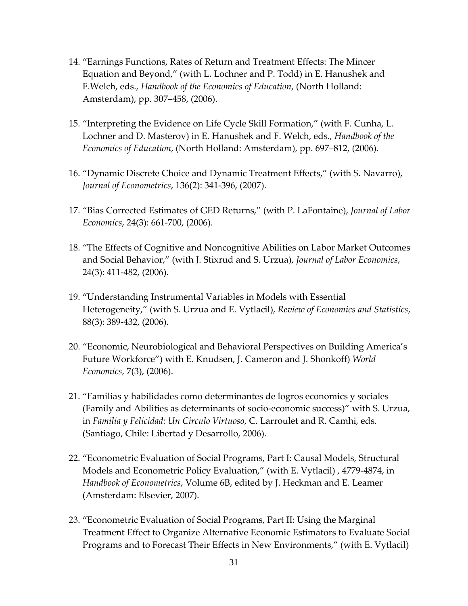- 14. "Earnings Functions, Rates of Return and Treatment Effects: The Mincer Equation and Beyond," (with L. Lochner and P. Todd) in E. Hanushek and F.Welch, eds., *Handbook of the Economics of Education*, (North Holland: Amsterdam), pp. 307–458, (2006).
- 15. "Interpreting the Evidence on Life Cycle Skill Formation," (with F. Cunha, L. Lochner and D. Masterov) in E. Hanushek and F. Welch, eds., *Handbook of the Economics of Education*, (North Holland: Amsterdam), pp. 697–812, (2006).
- 16. "Dynamic Discrete Choice and Dynamic Treatment Effects," (with S. Navarro), *Journal of Econometrics*, 136(2): 341-396, (2007).
- 17. "Bias Corrected Estimates of GED Returns," (with P. LaFontaine), *Journal of Labor Economics*, 24(3): 661-700, (2006).
- 18. "The Effects of Cognitive and Noncognitive Abilities on Labor Market Outcomes and Social Behavior," (with J. Stixrud and S. Urzua), *Journal of Labor Economics*, 24(3): 411-482, (2006).
- 19. "Understanding Instrumental Variables in Models with Essential Heterogeneity," (with S. Urzua and E. Vytlacil), *Review of Economics and Statistics*, 88(3): 389-432, (2006).
- 20. "Economic, Neurobiological and Behavioral Perspectives on Building America's Future Workforce") with E. Knudsen, J. Cameron and J. Shonkoff) *World Economics*, 7(3), (2006).
- 21. "Familias y habilidades como determinantes de logros economics y sociales (Family and Abilities as determinants of socio-economic success)" with S. Urzua, in *Familia y Felicidad: Un Circulo Virtuoso*, C. Larroulet and R. Camhi, eds. (Santiago, Chile: Libertad y Desarrollo, 2006).
- 22. "Econometric Evaluation of Social Programs, Part I: Causal Models, Structural Models and Econometric Policy Evaluation," (with E. Vytlacil) , 4779-4874, in *Handbook of Econometrics*, Volume 6B, edited by J. Heckman and E. Leamer (Amsterdam: Elsevier, 2007).
- 23. "Econometric Evaluation of Social Programs, Part II: Using the Marginal Treatment Effect to Organize Alternative Economic Estimators to Evaluate Social Programs and to Forecast Their Effects in New Environments," (with E. Vytlacil)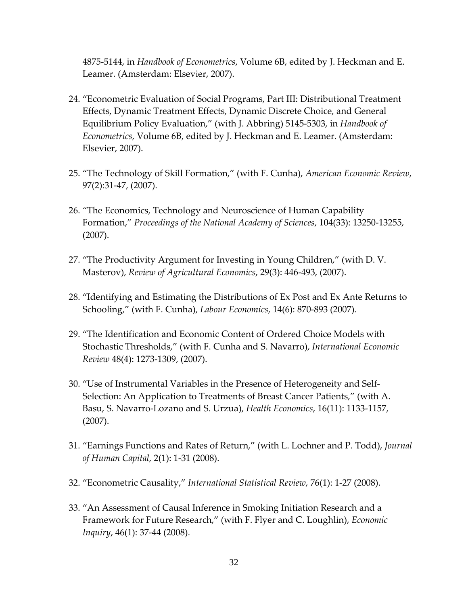4875-5144, in *Handbook of Econometrics*, Volume 6B, edited by J. Heckman and E. Leamer. (Amsterdam: Elsevier, 2007).

- 24. "Econometric Evaluation of Social Programs, Part III: Distributional Treatment Effects, Dynamic Treatment Effects, Dynamic Discrete Choice, and General Equilibrium Policy Evaluation," (with J. Abbring) 5145-5303, in *Handbook of Econometrics*, Volume 6B, edited by J. Heckman and E. Leamer. (Amsterdam: Elsevier, 2007).
- 25. "The Technology of Skill Formation," (with F. Cunha), *American Economic Review*, 97(2):31-47, (2007).
- 26. "The Economics, Technology and Neuroscience of Human Capability Formation," *Proceedings of the National Academy of Sciences*, 104(33): 13250-13255, (2007).
- 27. "The Productivity Argument for Investing in Young Children," (with D. V. Masterov), *Review of Agricultural Economics*, 29(3): 446-493, (2007).
- 28. "Identifying and Estimating the Distributions of Ex Post and Ex Ante Returns to Schooling," (with F. Cunha), *Labour Economics*, 14(6): 870-893 (2007).
- 29. "The Identification and Economic Content of Ordered Choice Models with Stochastic Thresholds," (with F. Cunha and S. Navarro), *International Economic Review* 48(4): 1273-1309, (2007).
- 30. "Use of Instrumental Variables in the Presence of Heterogeneity and Self-Selection: An Application to Treatments of Breast Cancer Patients," (with A. Basu, S. Navarro-Lozano and S. Urzua), *Health Economics*, 16(11): 1133-1157, (2007).
- 31. "Earnings Functions and Rates of Return," (with L. Lochner and P. Todd), *Journal of Human Capital*, 2(1): 1-31 (2008).
- 32. "Econometric Causality," *International Statistical Review*, 76(1): 1-27 (2008).
- 33. "An Assessment of Causal Inference in Smoking Initiation Research and a Framework for Future Research," (with F. Flyer and C. Loughlin), *Economic Inquiry*, 46(1): 37-44 (2008).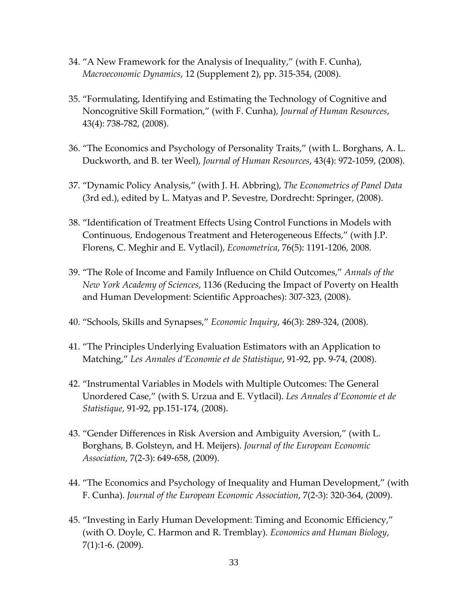- 34. "A New Framework for the Analysis of Inequality," (with F. Cunha), *Macroeconomic Dynamics*, 12 (Supplement 2), pp. 315-354, (2008).
- 35. "Formulating, Identifying and Estimating the Technology of Cognitive and Noncognitive Skill Formation," (with F. Cunha), *Journal of Human Resources*, 43(4): 738-782, (2008).
- 36. "The Economics and Psychology of Personality Traits," (with L. Borghans, A. L. Duckworth, and B. ter Weel), *Journal of Human Resources*, 43(4): 972-1059, (2008).
- 37. "Dynamic Policy Analysis," (with J. H. Abbring), *The Econometrics of Panel Data* (3rd ed.), edited by L. Matyas and P. Sevestre, Dordrecht: Springer, (2008).
- 38. "Identification of Treatment Effects Using Control Functions in Models with Continuous, Endogenous Treatment and Heterogeneous Effects," (with J.P. Florens, C. Meghir and E. Vytlacil), *Econometrica*, 76(5): 1191-1206, 2008.
- 39. "The Role of Income and Family Influence on Child Outcomes," *Annals of the New York Academy of Sciences*, 1136 (Reducing the Impact of Poverty on Health and Human Development: Scientific Approaches): 307-323, (2008).
- 40. "Schools, Skills and Synapses," *Economic Inquiry*, 46(3): 289-324, (2008).
- 41. "The Principles Underlying Evaluation Estimators with an Application to Matching," *Les Annales d'Economie et de Statistique*, 91-92, pp. 9-74, (2008).
- 42. "Instrumental Variables in Models with Multiple Outcomes: The General Unordered Case," (with S. Urzua and E. Vytlacil). *Les Annales d'Economie et de Statistique*, 91-92, pp.151-174, (2008).
- 43. "Gender Differences in Risk Aversion and Ambiguity Aversion," (with L. Borghans, B. Golsteyn, and H. Meijers). *Journal of the European Economic Association*, 7(2-3): 649-658, (2009).
- 44. "The Economics and Psychology of Inequality and Human Development," (with F. Cunha). *Journal of the European Economic Association*, 7(2-3): 320-364, (2009).
- 45. "Investing in Early Human Development: Timing and Economic Efficiency," (with O. Doyle, C. Harmon and R. Tremblay). *Economics and Human Biology*, 7(1):1-6. (2009).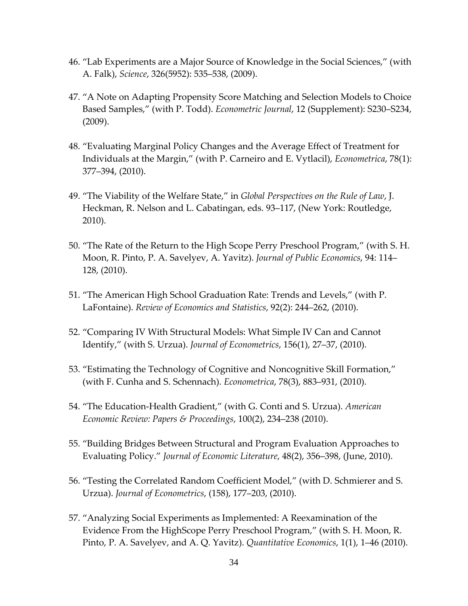- 46. "Lab Experiments are a Major Source of Knowledge in the Social Sciences," (with A. Falk), *Science*, 326(5952): 535–538, (2009).
- 47. "A Note on Adapting Propensity Score Matching and Selection Models to Choice Based Samples," (with P. Todd). *Econometric Journal*, 12 (Supplement): S230–S234, (2009).
- 48. "Evaluating Marginal Policy Changes and the Average Effect of Treatment for Individuals at the Margin," (with P. Carneiro and E. Vytlacil), *Econometrica*, 78(1): 377–394, (2010).
- 49. "The Viability of the Welfare State," in *Global Perspectives on the Rule of Law*, J. Heckman, R. Nelson and L. Cabatingan, eds. 93–117, (New York: Routledge, 2010).
- 50. "The Rate of the Return to the High Scope Perry Preschool Program," (with S. H. Moon, R. Pinto, P. A. Savelyev, A. Yavitz). *Journal of Public Economics*, 94: 114– 128, (2010).
- 51. "The American High School Graduation Rate: Trends and Levels," (with P. LaFontaine). *Review of Economics and Statistics*, 92(2): 244–262, (2010).
- 52. "Comparing IV With Structural Models: What Simple IV Can and Cannot Identify," (with S. Urzua). *Journal of Econometrics*, 156(1), 27–37, (2010).
- 53. "Estimating the Technology of Cognitive and Noncognitive Skill Formation," (with F. Cunha and S. Schennach). *Econometrica*, 78(3), 883–931, (2010).
- 54. "The Education-Health Gradient," (with G. Conti and S. Urzua). *American Economic Review: Papers & Proceedings*, 100(2), 234–238 (2010).
- 55. "Building Bridges Between Structural and Program Evaluation Approaches to Evaluating Policy." *Journal of Economic Literature*, 48(2), 356–398, (June, 2010).
- 56. "Testing the Correlated Random Coefficient Model," (with D. Schmierer and S. Urzua). *Journal of Econometrics*, (158), 177–203, (2010).
- 57. "Analyzing Social Experiments as Implemented: A Reexamination of the Evidence From the HighScope Perry Preschool Program," (with S. H. Moon, R. Pinto, P. A. Savelyev, and A. Q. Yavitz). *Quantitative Economics*, 1(1), 1–46 (2010).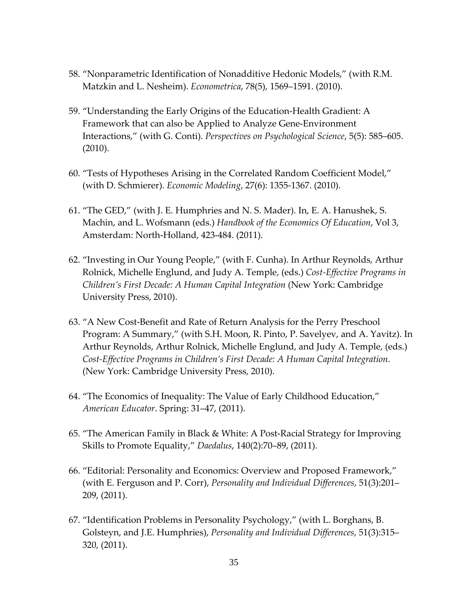- 58. "Nonparametric Identification of Nonadditive Hedonic Models," (with R.M. Matzkin and L. Nesheim). *Econometrica*, 78(5), 1569–1591. (2010).
- 59. "Understanding the Early Origins of the Education-Health Gradient: A Framework that can also be Applied to Analyze Gene-Environment Interactions," (with G. Conti). *Perspectives on Psychological Science*, 5(5): 585–605. (2010).
- 60. "Tests of Hypotheses Arising in the Correlated Random Coefficient Model," (with D. Schmierer). *Economic Modeling*, 27(6): 1355-1367. (2010).
- 61. "The GED," (with J. E. Humphries and N. S. Mader). In, E. A. Hanushek, S. Machin, and L. Wofsmann (eds.) *Handbook of the Economics Of Education*, Vol 3, Amsterdam: North-Holland, 423-484. (2011).
- 62. "Investing in Our Young People," (with F. Cunha). In Arthur Reynolds, Arthur Rolnick, Michelle Englund, and Judy A. Temple, (eds.) *Cost-Effective Programs in Children's First Decade: A Human Capital Integration* (New York: Cambridge University Press, 2010).
- 63. "A New Cost-Benefit and Rate of Return Analysis for the Perry Preschool Program: A Summary," (with S.H. Moon, R. Pinto, P. Savelyev, and A. Yavitz). In Arthur Reynolds, Arthur Rolnick, Michelle Englund, and Judy A. Temple, (eds.) *Cost-Effective Programs in Children's First Decade: A Human Capital Integration*. (New York: Cambridge University Press, 2010).
- 64. "The Economics of Inequality: The Value of Early Childhood Education," *American Educator*. Spring: 31–47, (2011).
- 65. "The American Family in Black & White: A Post-Racial Strategy for Improving Skills to Promote Equality," *Daedalus*, 140(2):70–89, (2011).
- 66. "Editorial: Personality and Economics: Overview and Proposed Framework," (with E. Ferguson and P. Corr), *Personality and Individual Differences*, 51(3):201– 209, (2011).
- 67. "Identification Problems in Personality Psychology," (with L. Borghans, B. Golsteyn, and J.E. Humphries), *Personality and Individual Differences*, 51(3):315– 320, (2011).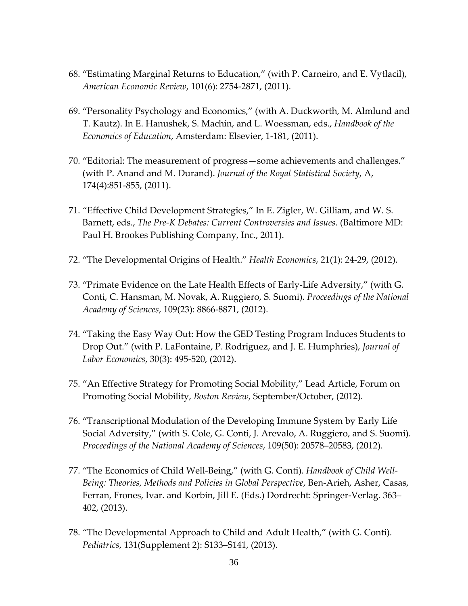- 68. "Estimating Marginal Returns to Education," (with P. Carneiro, and E. Vytlacil), *American Economic Review*, 101(6): 2754-2871, (2011).
- 69. "Personality Psychology and Economics," (with A. Duckworth, M. Almlund and T. Kautz). In E. Hanushek, S. Machin, and L. Woessman, eds., *Handbook of the Economics of Education*, Amsterdam: Elsevier, 1-181, (2011).
- 70. "Editorial: The measurement of progress—some achievements and challenges." (with P. Anand and M. Durand). *Journal of the Royal Statistical Society*, A, 174(4):851-855, (2011).
- 71. "Effective Child Development Strategies," In E. Zigler, W. Gilliam, and W. S. Barnett, eds., *The Pre-K Debates: Current Controversies and Issues*. (Baltimore MD: Paul H. Brookes Publishing Company, Inc., 2011).
- 72. "The Developmental Origins of Health." *Health Economics*, 21(1): 24-29, (2012).
- 73. "Primate Evidence on the Late Health Effects of Early-Life Adversity," (with G. Conti, C. Hansman, M. Novak, A. Ruggiero, S. Suomi). *Proceedings of the National Academy of Sciences*, 109(23): 8866-8871, (2012).
- 74. "Taking the Easy Way Out: How the GED Testing Program Induces Students to Drop Out." (with P. LaFontaine, P. Rodriguez, and J. E. Humphries), *Journal of Labor Economics*, 30(3): 495-520, (2012).
- 75. "An Effective Strategy for Promoting Social Mobility," Lead Article, Forum on Promoting Social Mobility, *Boston Review*, September/October, (2012).
- 76. "Transcriptional Modulation of the Developing Immune System by Early Life Social Adversity," (with S. Cole, G. Conti, J. Arevalo, A. Ruggiero, and S. Suomi). *Proceedings of the National Academy of Sciences*, 109(50): 20578–20583, (2012).
- 77. "The Economics of Child Well-Being," (with G. Conti). *Handbook of Child Well-Being: Theories, Methods and Policies in Global Perspective*, Ben-Arieh, Asher, Casas, Ferran, Frones, Ivar. and Korbin, Jill E. (Eds.) Dordrecht: Springer-Verlag. 363– 402, (2013).
- 78. "The Developmental Approach to Child and Adult Health," (with G. Conti). *Pediatrics*, 131(Supplement 2): S133–S141, (2013).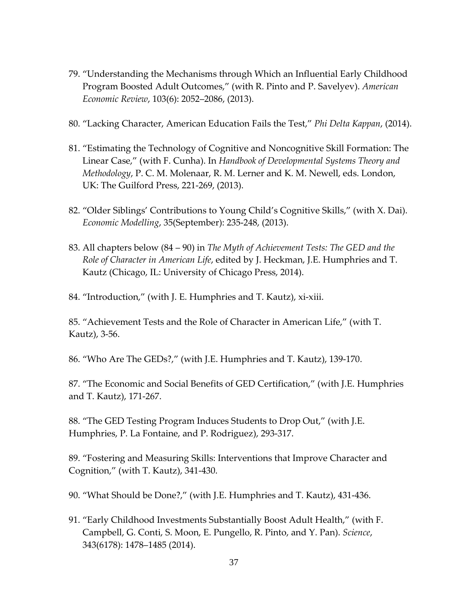- 79. "Understanding the Mechanisms through Which an Influential Early Childhood Program Boosted Adult Outcomes," (with R. Pinto and P. Savelyev). *American Economic Review*, 103(6): 2052–2086, (2013).
- 80. "Lacking Character, American Education Fails the Test," *Phi Delta Kappan*, (2014).
- 81. "Estimating the Technology of Cognitive and Noncognitive Skill Formation: The Linear Case," (with F. Cunha). In *Handbook of Developmental Systems Theory and Methodology*, P. C. M. Molenaar, R. M. Lerner and K. M. Newell, eds. London, UK: The Guilford Press, 221-269, (2013).
- 82. "Older Siblings' Contributions to Young Child's Cognitive Skills," (with X. Dai). *Economic Modelling*, 35(September): 235-248, (2013).
- 83. All chapters below (84 90) in *The Myth of Achievement Tests: The GED and the Role of Character in American Life*, edited by J. Heckman, J.E. Humphries and T. Kautz (Chicago, IL: University of Chicago Press, 2014).
- 84. "Introduction," (with J. E. Humphries and T. Kautz), xi-xiii.

85. "Achievement Tests and the Role of Character in American Life," (with T. Kautz), 3-56.

86. "Who Are The GEDs?," (with J.E. Humphries and T. Kautz), 139-170.

87. "The Economic and Social Benefits of GED Certification," (with J.E. Humphries and T. Kautz), 171-267.

88. "The GED Testing Program Induces Students to Drop Out," (with J.E. Humphries, P. La Fontaine, and P. Rodriguez), 293-317.

89. "Fostering and Measuring Skills: Interventions that Improve Character and Cognition," (with T. Kautz), 341-430.

90. "What Should be Done?," (with J.E. Humphries and T. Kautz), 431-436.

91. "Early Childhood Investments Substantially Boost Adult Health," (with F. Campbell, G. Conti, S. Moon, E. Pungello, R. Pinto, and Y. Pan). *Science*, 343(6178): 1478–1485 (2014).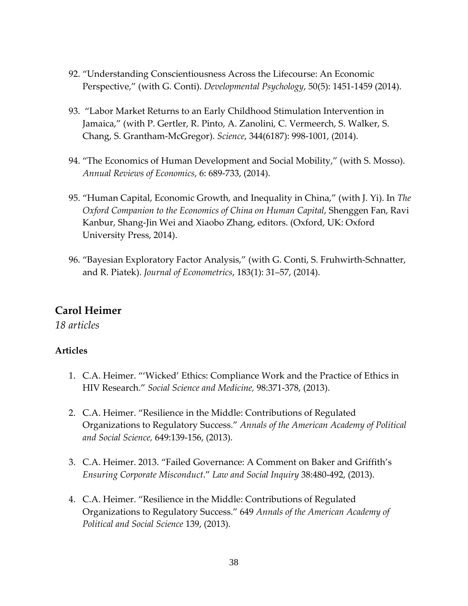- 92. "Understanding Conscientiousness Across the Lifecourse: An Economic Perspective," (with G. Conti). *Developmental Psychology*, 50(5): 1451-1459 (2014).
- 93. "Labor Market Returns to an Early Childhood Stimulation Intervention in Jamaica," (with P. Gertler, R. Pinto, A. Zanolini, C. Vermeerch, S. Walker, S. Chang, S. Grantham-McGregor). *Science*, 344(6187): 998-1001, (2014).
- 94. "The Economics of Human Development and Social Mobility," (with S. Mosso). *Annual Reviews of Economics*, 6: 689-733, (2014).
- 95. "Human Capital, Economic Growth, and Inequality in China," (with J. Yi). In *The Oxford Companion to the Economics of China on Human Capital*, Shenggen Fan, Ravi Kanbur, Shang-Jin Wei and Xiaobo Zhang, editors. (Oxford, UK: Oxford University Press, 2014).
- 96. "Bayesian Exploratory Factor Analysis," (with G. Conti, S. Fruhwirth-Schnatter, and R. Piatek). *Journal of Econometrics*, 183(1): 31–57, (2014).

# **Carol Heimer**

*18 articles*

- 1. C.A. Heimer. "'Wicked' Ethics: Compliance Work and the Practice of Ethics in HIV Research." *Social Science and Medicine,* 98:371-378, (2013).
- 2. C.A. Heimer. "Resilience in the Middle: Contributions of Regulated Organizations to Regulatory Success." *Annals of the American Academy of Political and Social Science,* 649:139-156, (2013).
- 3. C.A. Heimer. 2013. "Failed Governance: A Comment on Baker and Griffith's *Ensuring Corporate Misconduct*." *Law and Social Inquiry* 38:480-492, (2013).
- 4. C.A. Heimer. "Resilience in the Middle: Contributions of Regulated Organizations to Regulatory Success." 649 *Annals of the American Academy of Political and Social Science* 139, (2013).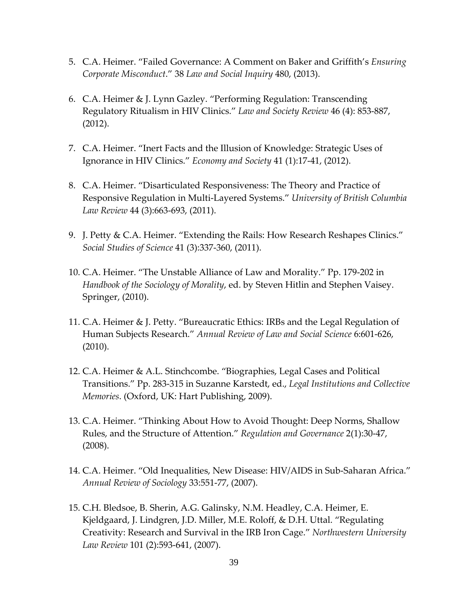- 5. C.A. Heimer. "Failed Governance: A Comment on Baker and Griffith's *Ensuring Corporate Misconduct*." 38 *Law and Social Inquiry* 480, (2013).
- 6. C.A. Heimer & J. Lynn Gazley. "Performing Regulation: Transcending Regulatory Ritualism in HIV Clinics." *Law and Society Review* 46 (4): 853-887, (2012).
- 7. C.A. Heimer. "Inert Facts and the Illusion of Knowledge: Strategic Uses of Ignorance in HIV Clinics." *Economy and Society* 41 (1):17-41, (2012).
- 8. C.A. Heimer. "Disarticulated Responsiveness: The Theory and Practice of Responsive Regulation in Multi-Layered Systems." *University of British Columbia Law Review* 44 (3):663-693, (2011).
- 9. J. Petty & C.A. Heimer. "Extending the Rails: How Research Reshapes Clinics." *Social Studies of Science* 41 (3):337-360, (2011).
- 10. C.A. Heimer. "The Unstable Alliance of Law and Morality." Pp. 179-202 in *Handbook of the Sociology of Morality*, ed. by Steven Hitlin and Stephen Vaisey. Springer, (2010).
- 11. C.A. Heimer & J. Petty. "Bureaucratic Ethics: IRBs and the Legal Regulation of Human Subjects Research." *Annual Review of Law and Social Science* 6:601-626, (2010).
- 12. C.A. Heimer & A.L. Stinchcombe. "Biographies, Legal Cases and Political Transitions." Pp. 283-315 in Suzanne Karstedt, ed., *Legal Institutions and Collective Memories*. (Oxford, UK: Hart Publishing, 2009).
- 13. C.A. Heimer. "Thinking About How to Avoid Thought: Deep Norms, Shallow Rules, and the Structure of Attention." *Regulation and Governance* 2(1):30-47, (2008).
- 14. C.A. Heimer. "Old Inequalities, New Disease: HIV/AIDS in Sub-Saharan Africa." *Annual Review of Sociology* 33:551-77, (2007).
- 15. C.H. Bledsoe, B. Sherin, A.G. Galinsky, N.M. Headley, C.A. Heimer, E. Kjeldgaard, J. Lindgren, J.D. Miller, M.E. Roloff, & D.H. Uttal. "Regulating Creativity: Research and Survival in the IRB Iron Cage." *Northwestern University Law Review* 101 (2):593-641, (2007).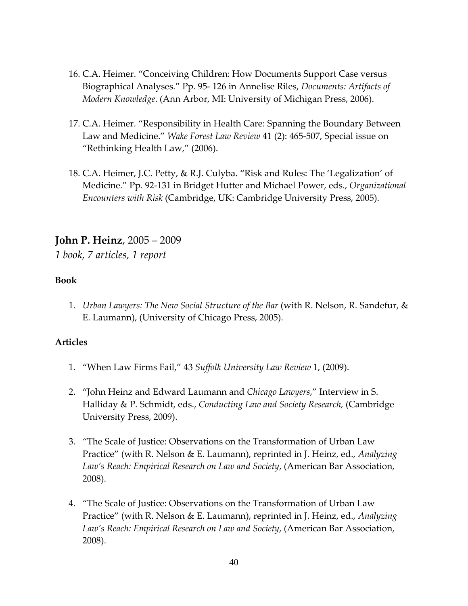- 16. C.A. Heimer. "Conceiving Children: How Documents Support Case versus Biographical Analyses." Pp. 95- 126 in Annelise Riles, *Documents: Artifacts of Modern Knowledge*. (Ann Arbor, MI: University of Michigan Press, 2006).
- 17. C.A. Heimer. "Responsibility in Health Care: Spanning the Boundary Between Law and Medicine." *Wake Forest Law Review* 41 (2): 465-507, Special issue on "Rethinking Health Law," (2006).
- 18. C.A. Heimer, J.C. Petty, & R.J. Culyba. "Risk and Rules: The 'Legalization' of Medicine." Pp. 92-131 in Bridget Hutter and Michael Power, eds., *Organizational Encounters with Risk* (Cambridge, UK: Cambridge University Press, 2005).

### **John P. Heinz**, 2005 – 2009

*1 book, 7 articles, 1 report*

#### **Book**

1. *Urban Lawyers: The New Social Structure of the Bar* (with R. Nelson, R. Sandefur, & E. Laumann), (University of Chicago Press, 2005).

- 1. "When Law Firms Fail," 43 *Suffolk University Law Review* 1, (2009).
- 2. "John Heinz and Edward Laumann and *Chicago Lawyers*," Interview in S. Halliday & P. Schmidt, eds., *Conducting Law and Society Research,* (Cambridge University Press, 2009).
- 3. "The Scale of Justice: Observations on the Transformation of Urban Law Practice" (with R. Nelson & E. Laumann), reprinted in J. Heinz, ed., *Analyzing Law's Reach: Empirical Research on Law and Society*, (American Bar Association, 2008).
- 4. "The Scale of Justice: Observations on the Transformation of Urban Law Practice" (with R. Nelson & E. Laumann), reprinted in J. Heinz, ed., *Analyzing Law's Reach: Empirical Research on Law and Society*, (American Bar Association, 2008).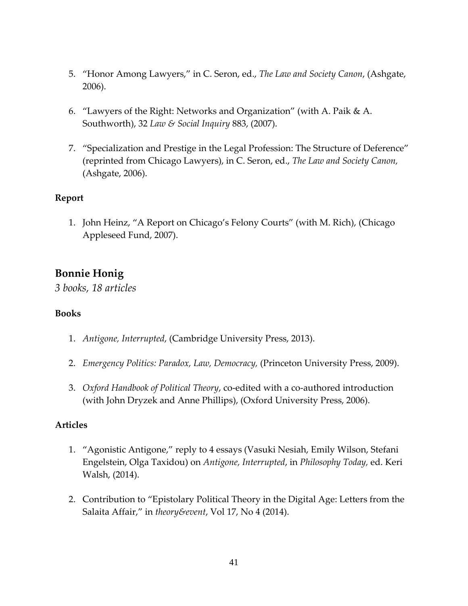- 5. "Honor Among Lawyers," in C. Seron, ed., *The Law and Society Canon*, (Ashgate, 2006).
- 6. "Lawyers of the Right: Networks and Organization" (with A. Paik & A. Southworth), 32 *Law & Social Inquiry* 883, (2007).
- 7. "Specialization and Prestige in the Legal Profession: The Structure of Deference" (reprinted from Chicago Lawyers), in C. Seron, ed., *The Law and Society Canon,* (Ashgate, 2006).

#### **Report**

1. John Heinz, "A Report on Chicago's Felony Courts" (with M. Rich), (Chicago Appleseed Fund, 2007).

# **Bonnie Honig**

*3 books, 18 articles*

#### **Books**

- 1. *Antigone, Interrupted*, (Cambridge University Press, 2013).
- 2. *Emergency Politics: Paradox, Law, Democracy,* (Princeton University Press, 2009).
- 3. *Oxford Handbook of Political Theory*, co-edited with a co-authored introduction (with John Dryzek and Anne Phillips), (Oxford University Press, 2006).

- 1. "Agonistic Antigone," reply to 4 essays (Vasuki Nesiah, Emily Wilson, Stefani Engelstein, Olga Taxidou) on *Antigone, Interrupted*, in *Philosophy Today,* ed. Keri Walsh, (2014).
- 2. Contribution to "Epistolary Political Theory in the Digital Age: Letters from the Salaita Affair," in *theory&event*, Vol 17, No 4 (2014).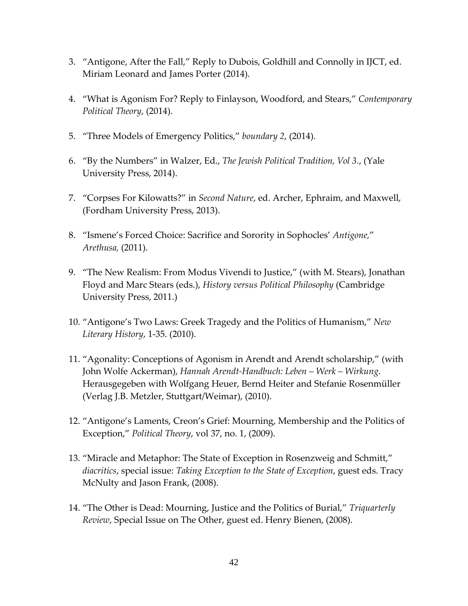- 3. "Antigone, After the Fall," Reply to Dubois, Goldhill and Connolly in IJCT, ed. Miriam Leonard and James Porter (2014).
- 4. "What is Agonism For? Reply to Finlayson, Woodford, and Stears," *Contemporary Political Theory*, (2014).
- 5. "Three Models of Emergency Politics," *boundary 2*, (2014).
- 6. "By the Numbers" in Walzer, Ed., *The Jewish Political Tradition, Vol 3.*, (Yale University Press, 2014).
- 7. "Corpses For Kilowatts?" in *Second Nature*, ed. Archer, Ephraim, and Maxwell, (Fordham University Press, 2013).
- 8. "Ismene's Forced Choice: Sacrifice and Sorority in Sophocles' *Antigone,*" *Arethusa,* (2011).
- 9. "The New Realism: From Modus Vivendi to Justice," (with M. Stears), Jonathan Floyd and Marc Stears (eds.), *History versus Political Philosophy* (Cambridge University Press, 2011.)
- 10. "Antigone's Two Laws: Greek Tragedy and the Politics of Humanism," *New Literary History*, 1-35. (2010).
- 11. "Agonality: Conceptions of Agonism in Arendt and Arendt scholarship," (with John Wolfe Ackerman), *Hannah Arendt-Handbuch: Leben – Werk – Wirkung*. Herausgegeben with Wolfgang Heuer, Bernd Heiter and Stefanie Rosenmüller (Verlag J.B. Metzler, Stuttgart/Weimar), (2010).
- 12. "Antigone's Laments, Creon's Grief: Mourning, Membership and the Politics of Exception," *Political Theory*, vol 37, no. 1, (2009).
- 13. "Miracle and Metaphor: The State of Exception in Rosenzweig and Schmitt," *diacritics*, special issue: *Taking Exception to the State of Exception*, guest eds. Tracy McNulty and Jason Frank, (2008).
- 14. "The Other is Dead: Mourning, Justice and the Politics of Burial," *Triquarterly Review*, Special Issue on The Other, guest ed. Henry Bienen, (2008).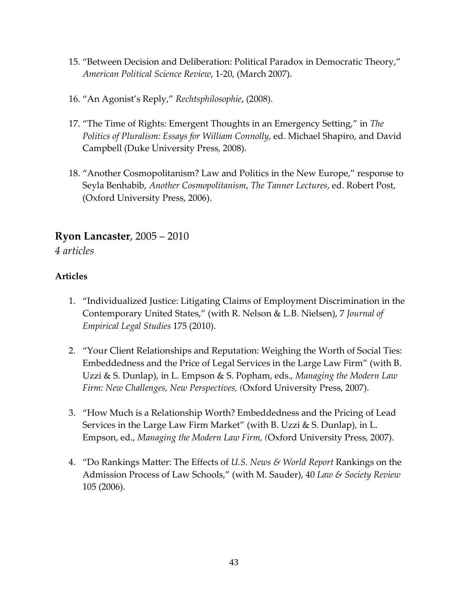- 15. "Between Decision and Deliberation: Political Paradox in Democratic Theory," *American Political Science Review*, 1-20, (March 2007).
- 16. "An Agonist's Reply," *Rechtsphilosophie*, (2008).
- 17. "The Time of Rights: Emergent Thoughts in an Emergency Setting," in *The Politics of Pluralism: Essays for William Connolly*, ed. Michael Shapiro, and David Campbell (Duke University Press, 2008).
- 18. "Another Cosmopolitanism? Law and Politics in the New Europe," response to Seyla Benhabib, *Another Cosmopolitanism*, *The Tanner Lectures*, ed. Robert Post, (Oxford University Press, 2006).

# **Ryon Lancaster**, 2005 – 2010

*4 articles*

- 1. "Individualized Justice: Litigating Claims of Employment Discrimination in the Contemporary United States," (with R. Nelson & L.B. Nielsen), 7 *Journal of Empirical Legal Studies* 175 (2010).
- 2. "Your Client Relationships and Reputation: Weighing the Worth of Social Ties: Embeddedness and the Price of Legal Services in the Large Law Firm" (with B. Uzzi & S. Dunlap), in L. Empson & S. Popham, eds., *Managing the Modern Law Firm: New Challenges, New Perspectives, (*Oxford University Press, 2007).
- 3. "How Much is a Relationship Worth? Embeddedness and the Pricing of Lead Services in the Large Law Firm Market" (with B. Uzzi  $& S$ . Dunlap), in L. Empson, ed., *Managing the Modern Law Firm, (*Oxford University Press, 2007).
- 4. "Do Rankings Matter: The Effects of *U.S. News & World Report* Rankings on the Admission Process of Law Schools," (with M. Sauder), 40 *Law & Society Review* 105 (2006).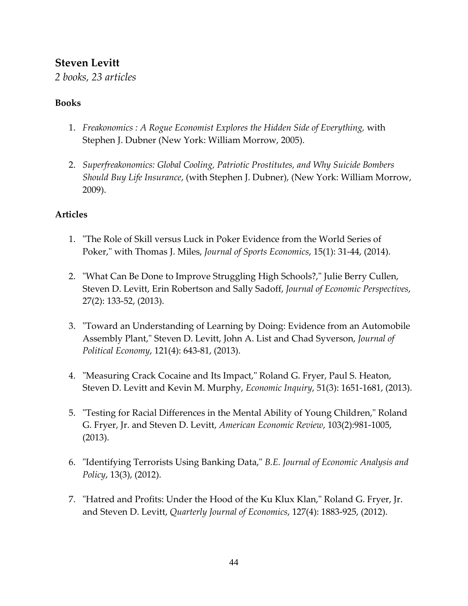# **Steven Levitt**

*2 books, 23 articles*

#### **Books**

- 1. *Freakonomics : A Rogue Economist Explores the Hidden Side of Everything,* with Stephen J. Dubner (New York: William Morrow, 2005).
- 2. *Superfreakonomics: Global Cooling, Patriotic Prostitutes, and Why Suicide Bombers Should Buy Life Insurance*, (with Stephen J. Dubner), (New York: William Morrow, 2009).

- 1. "The Role of Skill versus Luck in Poker Evidence from the World Series of Poker," with Thomas J. Miles, *Journal of Sports Economics*, 15(1): 31-44, (2014).
- 2. "What Can Be Done to Improve Struggling High Schools?," Julie Berry Cullen, Steven D. Levitt, Erin Robertson and Sally Sadoff, *Journal of Economic Perspectives*, 27(2): 133-52, (2013).
- 3. "Toward an Understanding of Learning by Doing: Evidence from an Automobile Assembly Plant," Steven D. Levitt, John A. List and Chad Syverson, *Journal of Political Economy*, 121(4): 643-81, (2013).
- 4. "Measuring Crack Cocaine and Its Impact," Roland G. Fryer, Paul S. Heaton, Steven D. Levitt and Kevin M. Murphy, *Economic Inquiry*, 51(3): 1651-1681, (2013).
- 5. "Testing for Racial Differences in the Mental Ability of Young Children," Roland G. Fryer, Jr. and Steven D. Levitt, *American Economic Review*, 103(2):981-1005, (2013).
- 6. "Identifying Terrorists Using Banking Data," *B.E. Journal of Economic Analysis and Policy*, 13(3), (2012).
- 7. "Hatred and Profits: Under the Hood of the Ku Klux Klan," Roland G. Fryer, Jr. and Steven D. Levitt, *Quarterly Journal of Economics*, 127(4): 1883-925, (2012).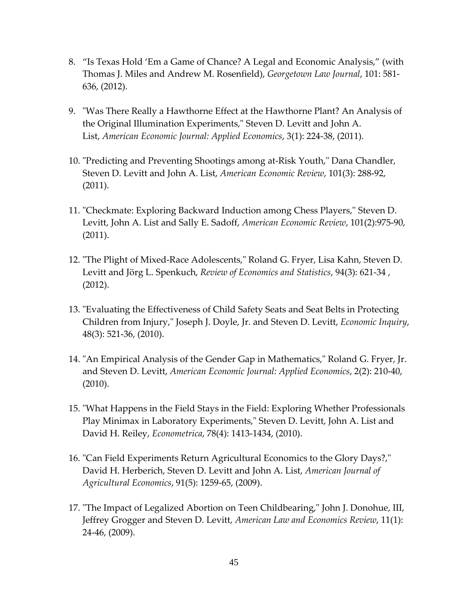- 8. "Is Texas Hold 'Em a Game of Chance? A Legal and Economic Analysis," (with Thomas J. Miles and Andrew M. Rosenfield), *Georgetown Law Journal*, 101: 581- 636, (2012).
- 9. "Was There Really a Hawthorne Effect at the Hawthorne Plant? An Analysis of the Original Illumination Experiments," Steven D. Levitt and John A. List, *American Economic Journal: Applied Economics*, 3(1): 224-38, (2011).
- 10. "Predicting and Preventing Shootings among at-Risk Youth," Dana Chandler, Steven D. Levitt and John A. List, *American Economic Review*, 101(3): 288-92, (2011).
- 11. "Checkmate: Exploring Backward Induction among Chess Players," Steven D. Levitt, John A. List and Sally E. Sadoff, *American Economic Review*, 101(2):975-90, (2011).
- 12. "The Plight of Mixed-Race Adolescents," Roland G. Fryer, Lisa Kahn, Steven D. Levitt and Jörg L. Spenkuch, *Review of Economics and Statistics*, 94(3): 621-34 , (2012).
- 13. "Evaluating the Effectiveness of Child Safety Seats and Seat Belts in Protecting Children from Injury," Joseph J. Doyle, Jr. and Steven D. Levitt, *Economic Inquiry*, 48(3): 521-36, (2010).
- 14. "An Empirical Analysis of the Gender Gap in Mathematics," Roland G. Fryer, Jr. and Steven D. Levitt, *American Economic Journal: Applied Economics*, 2(2): 210-40, (2010).
- 15. "What Happens in the Field Stays in the Field: Exploring Whether Professionals Play Minimax in Laboratory Experiments," Steven D. Levitt, John A. List and David H. Reiley, *Econometrica*, 78(4): 1413-1434, (2010).
- 16. "Can Field Experiments Return Agricultural Economics to the Glory Days?," David H. Herberich, Steven D. Levitt and John A. List, *American Journal of Agricultural Economics*, 91(5): 1259-65, (2009).
- 17. "The Impact of Legalized Abortion on Teen Childbearing," John J. Donohue, III, Jeffrey Grogger and Steven D. Levitt, *American Law and Economics Review*, 11(1): 24-46, (2009).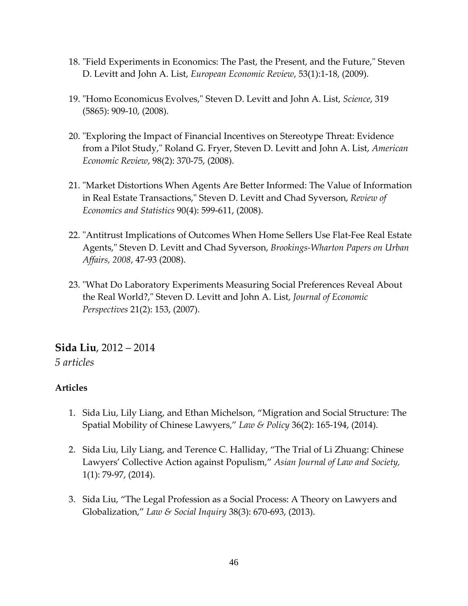- 18. "Field Experiments in Economics: The Past, the Present, and the Future," Steven D. Levitt and John A. List, *European Economic Review*, 53(1):1-18, (2009).
- 19. "Homo Economicus Evolves," Steven D. Levitt and John A. List, *Science*, 319 (5865): 909-10, (2008).
- 20. "Exploring the Impact of Financial Incentives on Stereotype Threat: Evidence from a Pilot Study," Roland G. Fryer, Steven D. Levitt and John A. List, *American Economic Review*, 98(2): 370-75, (2008).
- 21. "Market Distortions When Agents Are Better Informed: The Value of Information in Real Estate Transactions," Steven D. Levitt and Chad Syverson, *Review of Economics and Statistics* 90(4): 599-611, (2008).
- 22. "Antitrust Implications of Outcomes When Home Sellers Use Flat-Fee Real Estate Agents," Steven D. Levitt and Chad Syverson, *Brookings-Wharton Papers on Urban Affairs, 2008*, 47-93 (2008).
- 23. "What Do Laboratory Experiments Measuring Social Preferences Reveal About the Real World?," Steven D. Levitt and John A. List, *Journal of Economic Perspectives* 21(2): 153, (2007).

### **Sida Liu**, 2012 – 2014

#### *5 articles*

- 1. Sida Liu, Lily Liang, and Ethan Michelson, "Migration and Social Structure: The Spatial Mobility of Chinese Lawyers," *Law & Policy* 36(2): 165-194, (2014).
- 2. Sida Liu, Lily Liang, and Terence C. Halliday, "The Trial of Li Zhuang: Chinese Lawyers' Collective Action against Populism," *Asian Journal of Law and Society,*  1(1): 79-97, (2014).
- 3. Sida Liu, "The Legal Profession as a Social Process: A Theory on Lawyers and Globalization," *Law & Social Inquiry* 38(3): 670-693, (2013).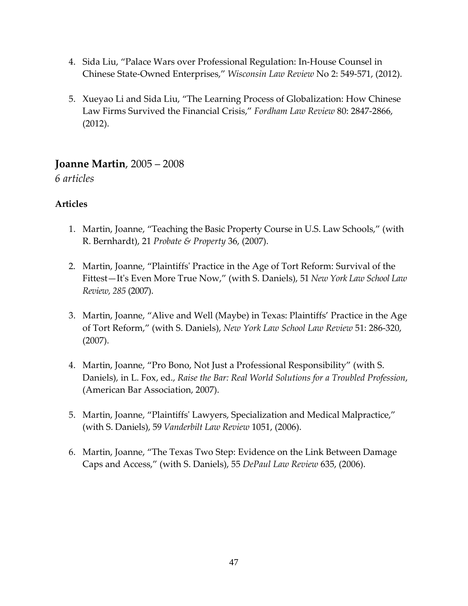- 4. Sida Liu, "Palace Wars over Professional Regulation: In-House Counsel in Chinese State-Owned Enterprises," *Wisconsin Law Review* No 2: 549-571, (2012).
- 5. Xueyao Li and Sida Liu, "The Learning Process of Globalization: How Chinese Law Firms Survived the Financial Crisis," *Fordham Law Review* 80: 2847-2866, (2012).

# **Joanne Martin**, 2005 – 2008

*6 articles*

- 1. Martin, Joanne, "Teaching the Basic Property Course in U.S. Law Schools," (with R. Bernhardt), 21 *Probate & Property* 36, (2007).
- 2. Martin, Joanne, "Plaintiffs' Practice in the Age of Tort Reform: Survival of the Fittest—It's Even More True Now," (with S. Daniels), 51 *New York Law School Law Review, 285* (2007).
- 3. Martin, Joanne, "Alive and Well (Maybe) in Texas: Plaintiffs' Practice in the Age of Tort Reform," (with S. Daniels), *New York Law School Law Review* 51: 286-320, (2007).
- 4. Martin, Joanne, "Pro Bono, Not Just a Professional Responsibility" (with S. Daniels), in L. Fox, ed., *Raise the Bar: Real World Solutions for a Troubled Profession*, (American Bar Association, 2007).
- 5. Martin, Joanne, "Plaintiffs' Lawyers, Specialization and Medical Malpractice," (with S. Daniels), 59 *Vanderbilt Law Review* 1051, (2006).
- 6. Martin, Joanne, "The Texas Two Step: Evidence on the Link Between Damage Caps and Access," (with S. Daniels), 55 *DePaul Law Review* 635, (2006).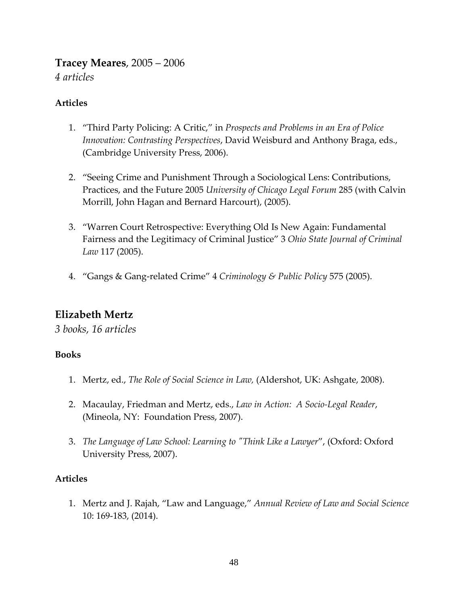**Tracey Meares**, 2005 – 2006 *4 articles*

#### **Articles**

- 1. "Third Party Policing: A Critic," in *Prospects and Problems in an Era of Police Innovation: Contrasting Perspectives*, David Weisburd and Anthony Braga, eds., (Cambridge University Press, 2006).
- 2. "Seeing Crime and Punishment Through a Sociological Lens: Contributions, Practices, and the Future 2005 *University of Chicago Legal Forum* 285 (with Calvin Morrill, John Hagan and Bernard Harcourt), (2005).
- 3. "Warren Court Retrospective: Everything Old Is New Again: Fundamental Fairness and the Legitimacy of Criminal Justice" 3 *Ohio State Journal of Criminal Law* 117 (2005).
- 4. "Gangs & Gang-related Crime" 4 *Criminology & Public Policy* 575 (2005).

# **Elizabeth Mertz**

*3 books, 16 articles*

#### **Books**

- 1. Mertz, ed., *The Role of Social Science in Law,* (Aldershot, UK: Ashgate, 2008).
- 2. Macaulay, Friedman and Mertz, eds., *Law in Action: A Socio-Legal Reader*, (Mineola, NY: Foundation Press, 2007).
- 3. *The Language of Law School: Learning to "Think Like a Lawyer*", (Oxford: Oxford University Press, 2007).

#### **Articles**

1. Mertz and J. Rajah, "Law and Language," *Annual Review of Law and Social Science* 10: 169-183, (2014).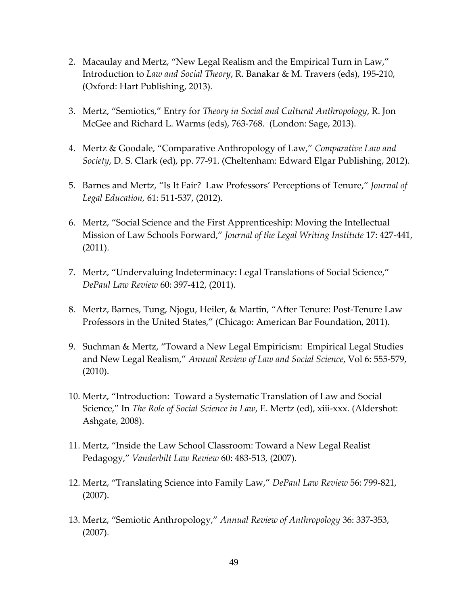- 2. Macaulay and Mertz, "New Legal Realism and the Empirical Turn in Law," Introduction to *Law and Social Theory*, R. Banakar & M. Travers (eds), 195-210, (Oxford: Hart Publishing, 2013).
- 3. Mertz, "Semiotics," Entry for *Theory in Social and Cultural Anthropology*, R. Jon McGee and Richard L. Warms (eds), 763-768. (London: Sage, 2013).
- 4. Mertz & Goodale, "Comparative Anthropology of Law," *Comparative Law and Society*, D. S. Clark (ed), pp. 77-91. (Cheltenham: Edward Elgar Publishing, 2012).
- 5. Barnes and Mertz, "Is It Fair? Law Professors' Perceptions of Tenure," *Journal of Legal Education,* 61: 511-537, (2012).
- 6. Mertz, "Social Science and the First Apprenticeship: Moving the Intellectual Mission of Law Schools Forward," *Journal of the Legal Writing Institute* 17: 427-441, (2011).
- 7. Mertz, "Undervaluing Indeterminacy: Legal Translations of Social Science," *DePaul Law Review* 60: 397-412, (2011).
- 8. Mertz, Barnes, Tung, Njogu, Heiler, & Martin, "After Tenure: Post-Tenure Law Professors in the United States," (Chicago: American Bar Foundation, 2011).
- 9. Suchman & Mertz, "Toward a New Legal Empiricism: Empirical Legal Studies and New Legal Realism," *Annual Review of Law and Social Science*, Vol 6: 555-579, (2010).
- 10. Mertz, "Introduction: Toward a Systematic Translation of Law and Social Science," In *The Role of Social Science in Law*, E. Mertz (ed), xiii-xxx. (Aldershot: Ashgate, 2008).
- 11. Mertz, "Inside the Law School Classroom: Toward a New Legal Realist Pedagogy," *Vanderbilt Law Review* 60: 483-513, (2007).
- 12. Mertz, "Translating Science into Family Law," *DePaul Law Review* 56: 799-821, (2007).
- 13. Mertz, "Semiotic Anthropology," *Annual Review of Anthropology* 36: 337-353, (2007).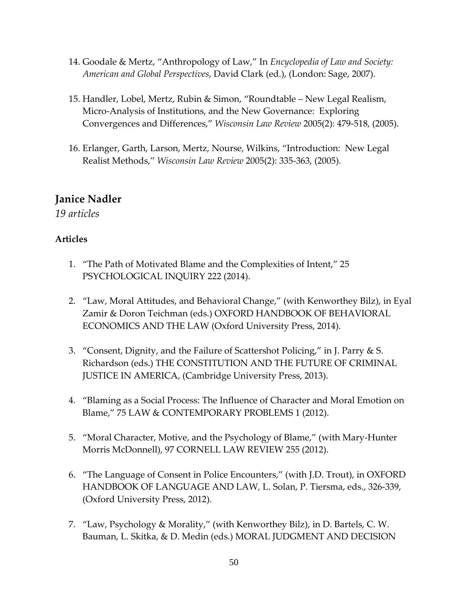- 14. Goodale & Mertz, "Anthropology of Law," In *Encyclopedia of Law and Society: American and Global Perspectives*, David Clark (ed.), (London: Sage, 2007).
- 15. Handler, Lobel, Mertz, Rubin & Simon, "Roundtable New Legal Realism, Micro-Analysis of Institutions, and the New Governance: Exploring Convergences and Differences," *Wisconsin Law Review* 2005(2): 479-518, (2005).
- 16. Erlanger, Garth, Larson, Mertz, Nourse, Wilkins, "Introduction: New Legal Realist Methods," *Wisconsin Law Review* 2005(2): 335-363, (2005).

# **Janice Nadler**

*19 articles*

- 1. "The Path of Motivated Blame and the Complexities of Intent," 25 PSYCHOLOGICAL INQUIRY 222 (2014).
- 2. "Law, Moral Attitudes, and Behavioral Change," (with Kenworthey Bilz), in Eyal Zamir & Doron Teichman (eds.) OXFORD HANDBOOK OF BEHAVIORAL ECONOMICS AND THE LAW (Oxford University Press, 2014).
- 3. "Consent, Dignity, and the Failure of Scattershot Policing," in J. Parry & S. Richardson (eds.) THE CONSTITUTION AND THE FUTURE OF CRIMINAL JUSTICE IN AMERICA, (Cambridge University Press, 2013).
- 4. "Blaming as a Social Process: The Influence of Character and Moral Emotion on Blame," 75 LAW & CONTEMPORARY PROBLEMS 1 (2012).
- 5. "Moral Character, Motive, and the Psychology of Blame," (with Mary-Hunter Morris McDonnell), 97 CORNELL LAW REVIEW 255 (2012).
- 6. "The Language of Consent in Police Encounters," (with J.D. Trout), in OXFORD HANDBOOK OF LANGUAGE AND LAW*,* L. Solan, P. Tiersma, eds., 326-339, (Oxford University Press, 2012).
- 7. "Law, Psychology & Morality," (with Kenworthey Bilz), in D. Bartels, C. W. Bauman, L. Skitka, & D. Medin (eds.) MORAL JUDGMENT AND DECISION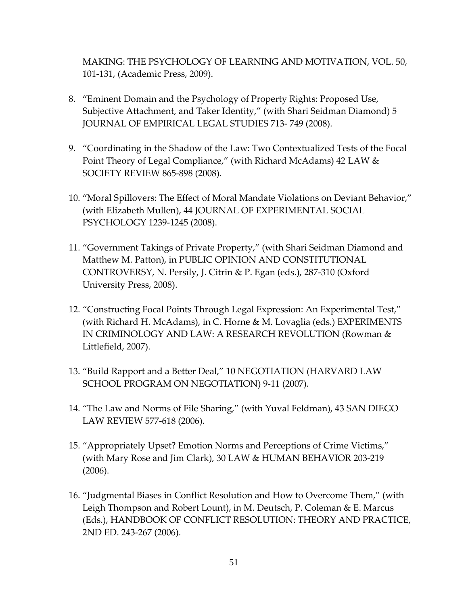MAKING: THE PSYCHOLOGY OF LEARNING AND MOTIVATION, VOL. 50, 101-131, (Academic Press, 2009).

- 8. "Eminent Domain and the Psychology of Property Rights: Proposed Use, Subjective Attachment, and Taker Identity," (with Shari Seidman Diamond) 5 JOURNAL OF EMPIRICAL LEGAL STUDIES 713- 749 (2008).
- 9. "Coordinating in the Shadow of the Law: Two Contextualized Tests of the Focal Point Theory of Legal Compliance," (with Richard McAdams) 42 LAW & SOCIETY REVIEW 865-898 (2008).
- 10. "Moral Spillovers: The Effect of Moral Mandate Violations on Deviant Behavior," (with Elizabeth Mullen), 44 JOURNAL OF EXPERIMENTAL SOCIAL PSYCHOLOGY 1239-1245 (2008).
- 11. "Government Takings of Private Property," (with Shari Seidman Diamond and Matthew M. Patton), in PUBLIC OPINION AND CONSTITUTIONAL CONTROVERSY, N. Persily, J. Citrin & P. Egan (eds.), 287-310 (Oxford University Press, 2008).
- 12. "Constructing Focal Points Through Legal Expression: An Experimental Test," (with Richard H. McAdams), in C. Horne & M. Lovaglia (eds.) EXPERIMENTS IN CRIMINOLOGY AND LAW: A RESEARCH REVOLUTION (Rowman & Littlefield, 2007).
- 13. "Build Rapport and a Better Deal," 10 NEGOTIATION (HARVARD LAW SCHOOL PROGRAM ON NEGOTIATION) 9-11 (2007).
- 14. "The Law and Norms of File Sharing," (with Yuval Feldman), 43 SAN DIEGO LAW REVIEW 577-618 (2006).
- 15. "Appropriately Upset? Emotion Norms and Perceptions of Crime Victims," (with Mary Rose and Jim Clark), 30 LAW & HUMAN BEHAVIOR 203-219 (2006).
- 16. "Judgmental Biases in Conflict Resolution and How to Overcome Them," (with Leigh Thompson and Robert Lount), in M. Deutsch, P. Coleman & E. Marcus (Eds.), HANDBOOK OF CONFLICT RESOLUTION: THEORY AND PRACTICE, 2ND ED. 243-267 (2006).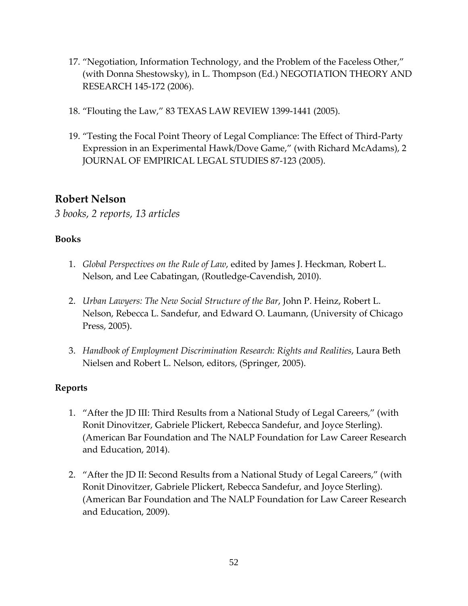- 17. "Negotiation, Information Technology, and the Problem of the Faceless Other," (with Donna Shestowsky), in L. Thompson (Ed.) NEGOTIATION THEORY AND RESEARCH 145-172 (2006).
- 18. "Flouting the Law," 83 TEXAS LAW REVIEW 1399-1441 (2005).
- 19. "Testing the Focal Point Theory of Legal Compliance: The Effect of Third-Party Expression in an Experimental Hawk/Dove Game," (with Richard McAdams), 2 JOURNAL OF EMPIRICAL LEGAL STUDIES 87-123 (2005).

# **Robert Nelson**

*3 books, 2 reports, 13 articles*

#### **Books**

- 1. *Global Perspectives on the Rule of Law*, edited by James J. Heckman, Robert L. Nelson, and Lee Cabatingan, (Routledge-Cavendish, 2010).
- 2. *Urban Lawyers: The New Social Structure of the Bar*, John P. Heinz, Robert L. Nelson, Rebecca L. Sandefur, and Edward O. Laumann, (University of Chicago Press, 2005).
- 3. *Handbook of Employment Discrimination Research: Rights and Realities*, Laura Beth Nielsen and Robert L. Nelson, editors, (Springer, 2005).

#### **Reports**

- 1. "After the JD III: Third Results from a National Study of Legal Careers," (with Ronit Dinovitzer, Gabriele Plickert, Rebecca Sandefur, and Joyce Sterling). (American Bar Foundation and The NALP Foundation for Law Career Research and Education, 2014).
- 2. "After the JD II: Second Results from a National Study of Legal Careers," (with Ronit Dinovitzer, Gabriele Plickert, Rebecca Sandefur, and Joyce Sterling). (American Bar Foundation and The NALP Foundation for Law Career Research and Education, 2009).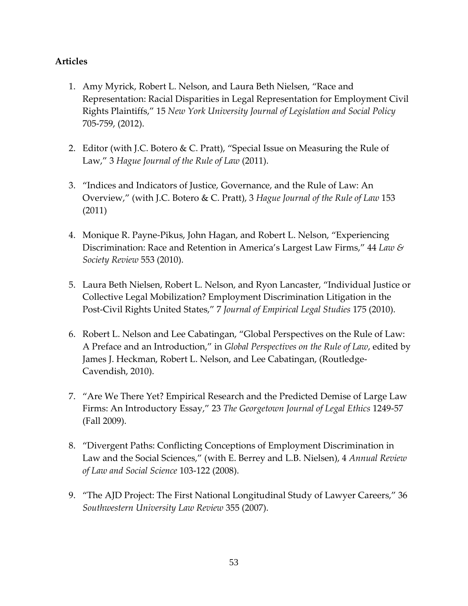- 1. Amy Myrick, Robert L. Nelson, and Laura Beth Nielsen, "Race and Representation: Racial Disparities in Legal Representation for Employment Civil Rights Plaintiffs," 15 *New York University Journal of Legislation and Social Policy* 705-759, (2012).
- 2. Editor (with J.C. Botero & C. Pratt), "Special Issue on Measuring the Rule of Law," 3 *Hague Journal of the Rule of Law* (2011).
- 3. "Indices and Indicators of Justice, Governance, and the Rule of Law: An Overview," (with J.C. Botero & C. Pratt), 3 *Hague Journal of the Rule of Law* 153 (2011)
- 4. Monique R. Payne-Pikus, John Hagan, and Robert L. Nelson, "Experiencing Discrimination: Race and Retention in America's Largest Law Firms," 44 *Law & Society Review* 553 (2010).
- 5. Laura Beth Nielsen, Robert L. Nelson, and Ryon Lancaster, "Individual Justice or Collective Legal Mobilization? Employment Discrimination Litigation in the Post-Civil Rights United States," 7 *Journal of Empirical Legal Studies* 175 (2010).
- 6. Robert L. Nelson and Lee Cabatingan, "Global Perspectives on the Rule of Law: A Preface and an Introduction," in *Global Perspectives on the Rule of Law*, edited by James J. Heckman, Robert L. Nelson, and Lee Cabatingan, (Routledge-Cavendish, 2010).
- 7. "Are We There Yet? Empirical Research and the Predicted Demise of Large Law Firms: An Introductory Essay," 23 *The Georgetown Journal of Legal Ethics* 1249-57 (Fall 2009).
- 8. "Divergent Paths: Conflicting Conceptions of Employment Discrimination in Law and the Social Sciences," (with E. Berrey and L.B. Nielsen), 4 *Annual Review of Law and Social Science* 103-122 (2008).
- 9. "The AJD Project: The First National Longitudinal Study of Lawyer Careers," 36 *Southwestern University Law Review* 355 (2007).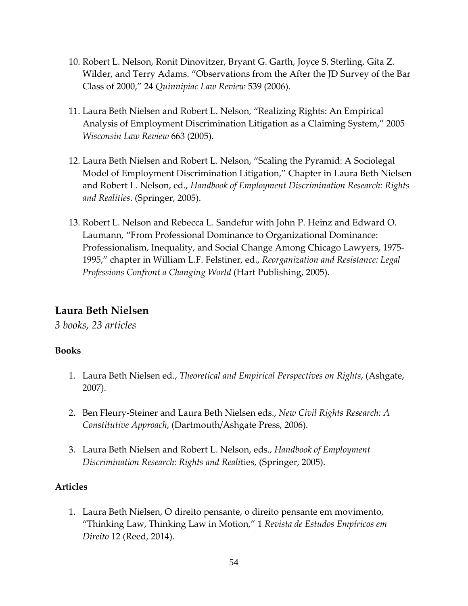- 10. Robert L. Nelson, Ronit Dinovitzer, Bryant G. Garth, Joyce S. Sterling, Gita Z. Wilder, and Terry Adams. "Observations from the After the JD Survey of the Bar Class of 2000," 24 *Quinnipiac Law Review* 539 (2006).
- 11. Laura Beth Nielsen and Robert L. Nelson, "Realizing Rights: An Empirical Analysis of Employment Discrimination Litigation as a Claiming System," 2005 *Wisconsin Law Review* 663 (2005).
- 12. Laura Beth Nielsen and Robert L. Nelson, "Scaling the Pyramid: A Sociolegal Model of Employment Discrimination Litigation," Chapter in Laura Beth Nielsen and Robert L. Nelson, ed., *Handbook of Employment Discrimination Research: Rights and Realities*. (Springer, 2005).
- 13. Robert L. Nelson and Rebecca L. Sandefur with John P. Heinz and Edward O. Laumann, "From Professional Dominance to Organizational Dominance: Professionalism, Inequality, and Social Change Among Chicago Lawyers, 1975- 1995," chapter in William L.F. Felstiner, ed., *Reorganization and Resistance: Legal Professions Confront a Changing World* (Hart Publishing, 2005).

# **Laura Beth Nielsen**

*3 books, 23 articles*

#### **Books**

- 1. Laura Beth Nielsen ed., *Theoretical and Empirical Perspectives on Rights*, (Ashgate, 2007).
- 2. Ben Fleury-Steiner and Laura Beth Nielsen eds., *New Civil Rights Research: A Constitutive Approach*, (Dartmouth/Ashgate Press, 2006).
- 3. Laura Beth Nielsen and Robert L. Nelson, eds., *Handbook of Employment Discrimination Research: Rights and Reali*ties, (Springer, 2005).

#### **Articles**

1. Laura Beth Nielsen, O direito pensante, o direito pensante em movimento, "Thinking Law, Thinking Law in Motion," 1 *Revista de Estudos Empíricos em Direito* 12 (Reed, 2014).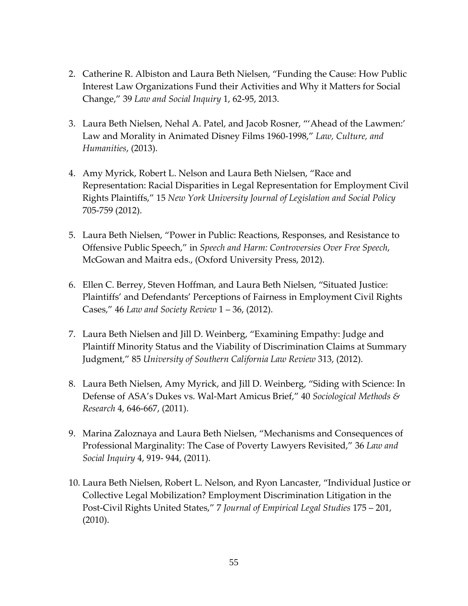- 2. Catherine R. Albiston and Laura Beth Nielsen, "Funding the Cause: How Public Interest Law Organizations Fund their Activities and Why it Matters for Social Change," 39 *Law and Social Inquiry* 1, 62-95, 2013.
- 3. Laura Beth Nielsen, Nehal A. Patel, and Jacob Rosner, "'Ahead of the Lawmen:' Law and Morality in Animated Disney Films 1960-1998," *Law, Culture, and Humanities*, (2013).
- 4. Amy Myrick, Robert L. Nelson and Laura Beth Nielsen, "Race and Representation: Racial Disparities in Legal Representation for Employment Civil Rights Plaintiffs," 15 *New York University Journal of Legislation and Social Policy* 705-759 (2012).
- 5. Laura Beth Nielsen, "Power in Public: Reactions, Responses, and Resistance to Offensive Public Speech," in *Speech and Harm: Controversies Over Free Speech*, McGowan and Maitra eds., (Oxford University Press, 2012).
- 6. Ellen C. Berrey, Steven Hoffman, and Laura Beth Nielsen, "Situated Justice: Plaintiffs' and Defendants' Perceptions of Fairness in Employment Civil Rights Cases," 46 *Law and Society Review* 1 – 36, (2012).
- 7. Laura Beth Nielsen and Jill D. Weinberg, "Examining Empathy: Judge and Plaintiff Minority Status and the Viability of Discrimination Claims at Summary Judgment," 85 *University of Southern California Law Review* 313, (2012).
- 8. Laura Beth Nielsen, Amy Myrick, and Jill D. Weinberg, "Siding with Science: In Defense of ASA's Dukes vs. Wal-Mart Amicus Brief," 40 *Sociological Methods & Research* 4, 646-667, (2011).
- 9. Marina Zaloznaya and Laura Beth Nielsen, "Mechanisms and Consequences of Professional Marginality: The Case of Poverty Lawyers Revisited," 36 *Law and Social Inquiry* 4, 919- 944, (2011).
- 10. Laura Beth Nielsen, Robert L. Nelson, and Ryon Lancaster, "Individual Justice or Collective Legal Mobilization? Employment Discrimination Litigation in the Post-Civil Rights United States," 7 *Journal of Empirical Legal Studies* 175 – 201, (2010).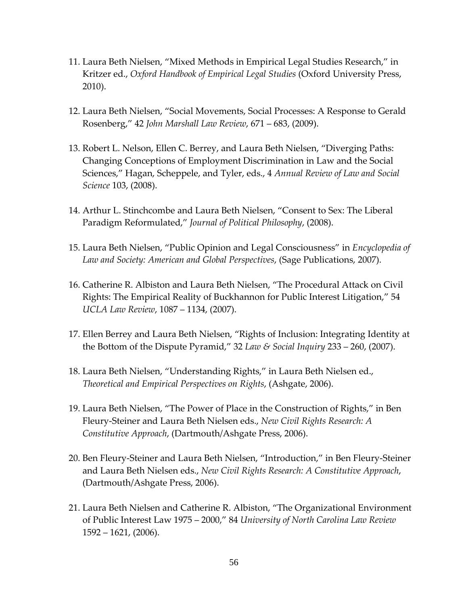- 11. Laura Beth Nielsen, "Mixed Methods in Empirical Legal Studies Research," in Kritzer ed., *Oxford Handbook of Empirical Legal Studies* (Oxford University Press, 2010).
- 12. Laura Beth Nielsen, "Social Movements, Social Processes: A Response to Gerald Rosenberg," 42 *John Marshall Law Review*, 671 – 683, (2009).
- 13. Robert L. Nelson, Ellen C. Berrey, and Laura Beth Nielsen, "Diverging Paths: Changing Conceptions of Employment Discrimination in Law and the Social Sciences," Hagan, Scheppele, and Tyler, eds., 4 *Annual Review of Law and Social Science* 103, (2008).
- 14. Arthur L. Stinchcombe and Laura Beth Nielsen, "Consent to Sex: The Liberal Paradigm Reformulated," *Journal of Political Philosophy*, (2008).
- 15. Laura Beth Nielsen, "Public Opinion and Legal Consciousness" in *Encyclopedia of Law and Society: American and Global Perspectives*, (Sage Publications, 2007).
- 16. Catherine R. Albiston and Laura Beth Nielsen, "The Procedural Attack on Civil Rights: The Empirical Reality of Buckhannon for Public Interest Litigation," 54 *UCLA Law Review*, 1087 – 1134, (2007).
- 17. Ellen Berrey and Laura Beth Nielsen, "Rights of Inclusion: Integrating Identity at the Bottom of the Dispute Pyramid," 32 *Law & Social Inquiry* 233 – 260, (2007).
- 18. Laura Beth Nielsen, "Understanding Rights," in Laura Beth Nielsen ed., *Theoretical and Empirical Perspectives on Rights*, (Ashgate, 2006).
- 19. Laura Beth Nielsen, "The Power of Place in the Construction of Rights," in Ben Fleury-Steiner and Laura Beth Nielsen eds., *New Civil Rights Research: A Constitutive Approach*, (Dartmouth/Ashgate Press, 2006).
- 20. Ben Fleury-Steiner and Laura Beth Nielsen, "Introduction," in Ben Fleury-Steiner and Laura Beth Nielsen eds., *New Civil Rights Research: A Constitutive Approach*, (Dartmouth/Ashgate Press, 2006).
- 21. Laura Beth Nielsen and Catherine R. Albiston, "The Organizational Environment of Public Interest Law 1975 – 2000," 84 *University of North Carolina Law Review* 1592 – 1621, (2006).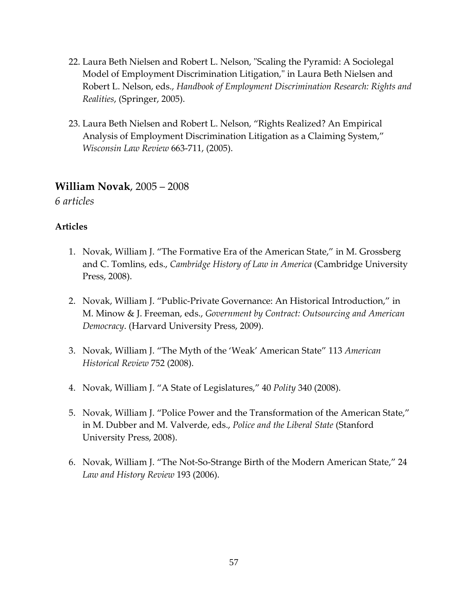- 22. Laura Beth Nielsen and Robert L. Nelson, "Scaling the Pyramid: A Sociolegal Model of Employment Discrimination Litigation," in Laura Beth Nielsen and Robert L. Nelson, eds., *Handbook of Employment Discrimination Research: Rights and Realities*, (Springer, 2005).
- 23. Laura Beth Nielsen and Robert L. Nelson, "Rights Realized? An Empirical Analysis of Employment Discrimination Litigation as a Claiming System," *Wisconsin Law Review* 663-711, (2005).

### **William Novak**, 2005 – 2008

*6 articles*

- 1. Novak, William J. "The Formative Era of the American State," in M. Grossberg and C. Tomlins, eds., *Cambridge History of Law in America* (Cambridge University Press, 2008).
- 2. Novak, William J. "Public-Private Governance: An Historical Introduction," in M. Minow & J. Freeman, eds., *Government by Contract: Outsourcing and American Democracy*. (Harvard University Press, 2009).
- 3. Novak, William J. "The Myth of the 'Weak' American State" 113 *American Historical Review* 752 (2008).
- 4. Novak, William J. "A State of Legislatures," 40 *Polity* 340 (2008).
- 5. Novak, William J. "Police Power and the Transformation of the American State," in M. Dubber and M. Valverde, eds., *Police and the Liberal State* (Stanford University Press, 2008).
- 6. Novak, William J. "The Not-So-Strange Birth of the Modern American State," 24 *Law and History Review* 193 (2006).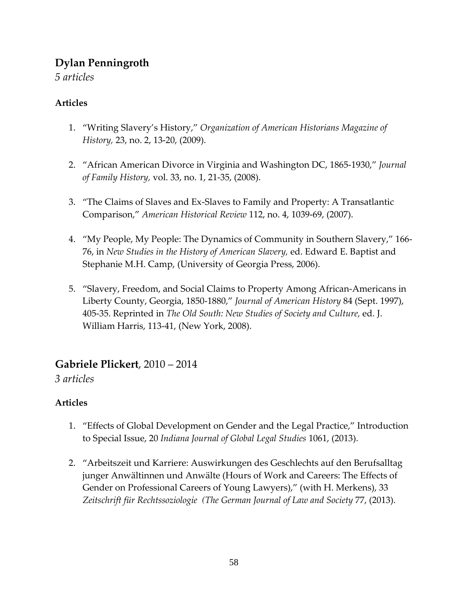# **Dylan Penningroth**

*5 articles*

### **Articles**

- 1. "Writing Slavery's History," *Organization of American Historians Magazine of History,* 23, no. 2, 13-20, (2009).
- 2. "African American Divorce in Virginia and Washington DC, 1865-1930," *Journal of Family History,* vol. 33, no. 1, 21-35, (2008).
- 3. "The Claims of Slaves and Ex-Slaves to Family and Property: A Transatlantic Comparison," *American Historical Review* 112, no. 4, 1039-69, (2007).
- 4. "My People, My People: The Dynamics of Community in Southern Slavery," 166- 76, in *New Studies in the History of American Slavery,* ed. Edward E. Baptist and Stephanie M.H. Camp, (University of Georgia Press, 2006).
- 5. "Slavery, Freedom, and Social Claims to Property Among African-Americans in Liberty County, Georgia, 1850-1880," *Journal of American History* 84 (Sept. 1997), 405-35. Reprinted in *The Old South: New Studies of Society and Culture,* ed. J. William Harris, 113-41, (New York, 2008).

# **Gabriele Plickert**, 2010 – 2014

*3 articles*

- 1. "Effects of Global Development on Gender and the Legal Practice," Introduction to Special Issue, 20 *Indiana Journal of Global Legal Studies* 1061, (2013).
- 2. "Arbeitszeit und Karriere: Auswirkungen des Geschlechts auf den Berufsalltag junger Anwältinnen und Anwälte (Hours of Work and Careers: The Effects of Gender on Professional Careers of Young Lawyers)," (with H. Merkens), 33 *Zeitschrift für Rechtssoziologie (The German Journal of Law and Society* 77, (2013).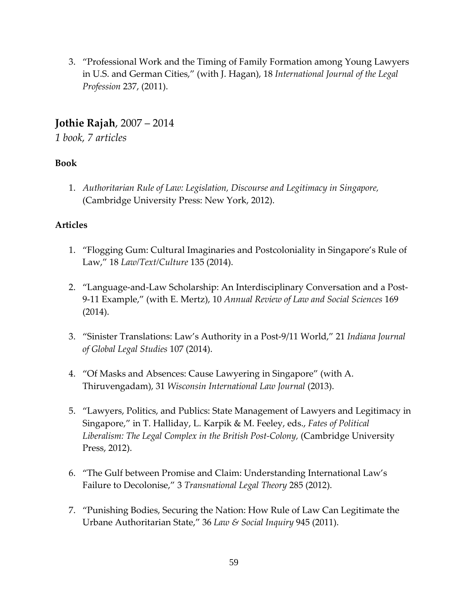3. "Professional Work and the Timing of Family Formation among Young Lawyers in U.S. and German Cities," (with J. Hagan), 18 *International Journal of the Legal Profession* 237, (2011).

# **Jothie Rajah**, 2007 – 2014

*1 book, 7 articles*

#### **Book**

1. *Authoritarian Rule of Law: Legislation, Discourse and Legitimacy in Singapore,*  (Cambridge University Press: New York, 2012).

- 1. "Flogging Gum: Cultural Imaginaries and Postcoloniality in Singapore's Rule of Law," 18 *Law/Text/Culture* 135 (2014).
- 2. "Language-and-Law Scholarship: An Interdisciplinary Conversation and a Post-9-11 Example," (with E. Mertz), 10 *Annual Review of Law and Social Sciences* 169 (2014).
- 3. "Sinister Translations: Law's Authority in a Post-9/11 World," 21 *Indiana Journal of Global Legal Studies* 107 (2014).
- 4. "Of Masks and Absences: Cause Lawyering in Singapore" (with A. Thiruvengadam), 31 *Wisconsin International Law Journal* (2013).
- 5. "Lawyers, Politics, and Publics: State Management of Lawyers and Legitimacy in Singapore," in T. Halliday, L. Karpik & M. Feeley, eds., *Fates of Political*  Liberalism: The Legal Complex in the British Post-Colony, (Cambridge University Press, 2012).
- 6. "The Gulf between Promise and Claim: Understanding International Law's Failure to Decolonise," 3 *Transnational Legal Theory* 285 (2012).
- 7. "Punishing Bodies, Securing the Nation: How Rule of Law Can Legitimate the Urbane Authoritarian State," 36 *Law & Social Inquiry* 945 (2011).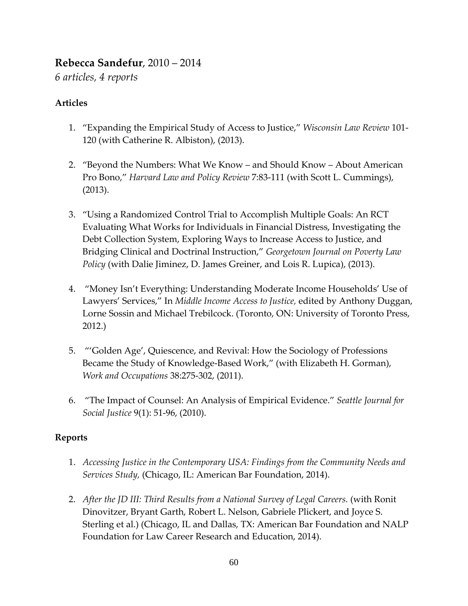# **Rebecca Sandefur**, 2010 – 2014

*6 articles, 4 reports*

#### **Articles**

- 1. "Expanding the Empirical Study of Access to Justice," *Wisconsin Law Review* 101- 120 (with Catherine R. Albiston), (2013).
- 2. "Beyond the Numbers: What We Know and Should Know About American Pro Bono," *Harvard Law and Policy Review* 7:83-111 (with Scott L. Cummings), (2013).
- 3. "Using a Randomized Control Trial to Accomplish Multiple Goals: An RCT Evaluating What Works for Individuals in Financial Distress, Investigating the Debt Collection System, Exploring Ways to Increase Access to Justice, and Bridging Clinical and Doctrinal Instruction," *Georgetown Journal on Poverty Law Policy* (with Dalie Jiminez, D. James Greiner, and Lois R. Lupica), (2013).
- 4. "Money Isn't Everything: Understanding Moderate Income Households' Use of Lawyers' Services," In *Middle Income Access to Justice,* edited by Anthony Duggan, Lorne Sossin and Michael Trebilcock. (Toronto, ON: University of Toronto Press, 2012.)
- 5. "'Golden Age', Quiescence, and Revival: How the Sociology of Professions Became the Study of Knowledge-Based Work," (with Elizabeth H. Gorman), *Work and Occupations* 38:275-302, (2011).
- 6. "The Impact of Counsel: An Analysis of Empirical Evidence." *Seattle Journal for Social Justice* 9(1): 51-96, (2010).

#### **Reports**

- 1. *Accessing Justice in the Contemporary USA: Findings from the Community Needs and Services Study,* (Chicago, IL: American Bar Foundation, 2014).
- 2. *After the JD III: Third Results from a National Survey of Legal Careers.* (with Ronit Dinovitzer, Bryant Garth, Robert L. Nelson, Gabriele Plickert, and Joyce S. Sterling et al.) (Chicago, IL and Dallas, TX: American Bar Foundation and NALP Foundation for Law Career Research and Education, 2014).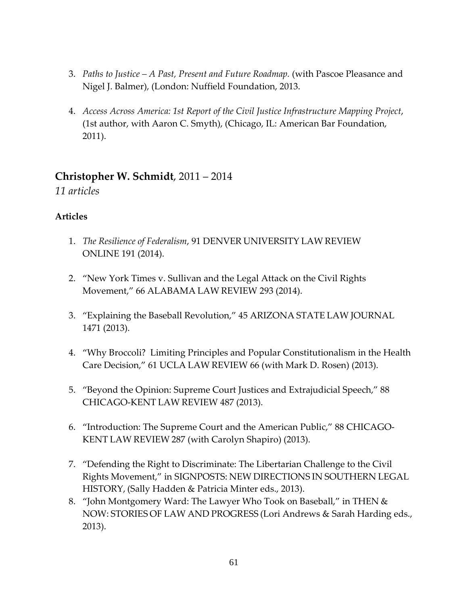- 3. *Paths to Justice – A Past, Present and Future Roadmap.* (with Pascoe Pleasance and Nigel J. Balmer), (London: Nuffield Foundation, 2013.
- 4. *Access Across America: 1st Report of the Civil Justice Infrastructure Mapping Project*, (1st author, with Aaron C. Smyth), (Chicago, IL: American Bar Foundation, 2011).

# **Christopher W. Schmidt**, 2011 – 2014

*11 articles*

- 1. *The Resilience of Federalism*, 91 DENVER UNIVERSITY LAW REVIEW ONLINE 191 (2014).
- 2. "New York Times v. Sullivan and the Legal Attack on the Civil Rights Movement," 66 ALABAMA LAW REVIEW 293 (2014).
- 3. "Explaining the Baseball Revolution," 45 ARIZONA STATE LAW JOURNAL 1471 (2013).
- 4. "Why Broccoli? Limiting Principles and Popular Constitutionalism in the Health Care Decision," 61 UCLA LAW REVIEW 66 (with Mark D. Rosen) (2013).
- 5. "Beyond the Opinion: Supreme Court Justices and Extrajudicial Speech," 88 CHICAGO-KENT LAW REVIEW 487 (2013).
- 6. "Introduction: The Supreme Court and the American Public," 88 CHICAGO-KENT LAW REVIEW 287 (with Carolyn Shapiro) (2013).
- 7. "Defending the Right to Discriminate: The Libertarian Challenge to the Civil Rights Movement," in SIGNPOSTS: NEW DIRECTIONS IN SOUTHERN LEGAL HISTORY, (Sally Hadden & Patricia Minter eds., 2013).
- 8. "John Montgomery Ward: The Lawyer Who Took on Baseball," in THEN & NOW: STORIES OF LAW AND PROGRESS (Lori Andrews & Sarah Harding eds., 2013).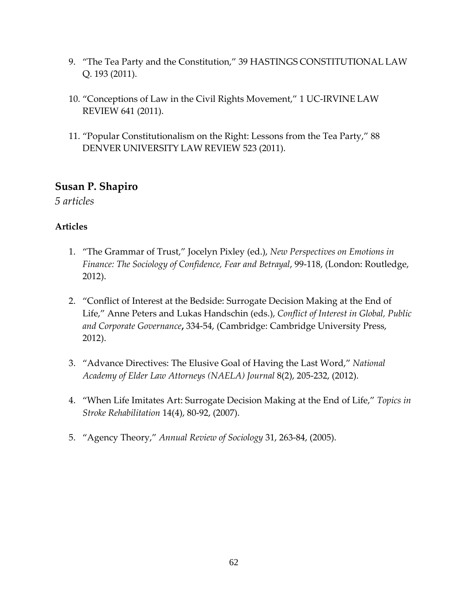- 9. "The Tea Party and the Constitution," 39 HASTINGS CONSTITUTIONAL LAW Q. 193 (2011).
- 10. "Conceptions of Law in the Civil Rights Movement," 1 UC-IRVINE LAW REVIEW 641 (2011).
- 11. "Popular Constitutionalism on the Right: Lessons from the Tea Party," 88 DENVER UNIVERSITY LAW REVIEW 523 (2011).

# **Susan P. Shapiro**

*5 articles*

- 1. "The Grammar of Trust," Jocelyn Pixley (ed.), *New Perspectives on Emotions in Finance: The Sociology of Confidence, Fear and Betrayal*, 99-118, (London: Routledge, 2012).
- 2. "Conflict of Interest at the Bedside: Surrogate Decision Making at the End of Life," Anne Peters and Lukas Handschin (eds.), *Conflict of Interest in Global, Public and Corporate Governance***,** 334-54, (Cambridge: Cambridge University Press, 2012).
- 3. "Advance Directives: The Elusive Goal of Having the Last Word," *National Academy of Elder Law Attorneys (NAELA) Journal* 8(2), 205-232, (2012).
- 4. "When Life Imitates Art: Surrogate Decision Making at the End of Life," *Topics in Stroke Rehabilitation* 14(4), 80-92, (2007).
- 5. "Agency Theory," *Annual Review of Sociology* 31, 263-84, (2005).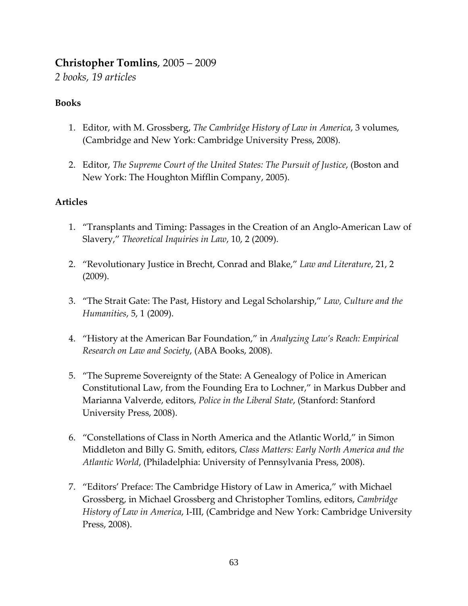# **Christopher Tomlins**, 2005 – 2009

*2 books, 19 articles*

#### **Books**

- 1. Editor, with M. Grossberg, *The Cambridge History of Law in America*, 3 volumes, (Cambridge and New York: Cambridge University Press, 2008).
- 2. Editor, *The Supreme Court of the United States: The Pursuit of Justice*, (Boston and New York: The Houghton Mifflin Company, 2005).

- 1. "Transplants and Timing: Passages in the Creation of an Anglo-American Law of Slavery," *Theoretical Inquiries in Law*, 10, 2 (2009).
- 2. "Revolutionary Justice in Brecht, Conrad and Blake," *Law and Literature*, 21, 2 (2009).
- 3. "The Strait Gate: The Past, History and Legal Scholarship," *Law, Culture and the Humanities*, 5, 1 (2009).
- 4. "History at the American Bar Foundation," in *Analyzing Law's Reach: Empirical Research on Law and Society*, (ABA Books, 2008).
- 5. "The Supreme Sovereignty of the State: A Genealogy of Police in American Constitutional Law, from the Founding Era to Lochner," in Markus Dubber and Marianna Valverde, editors, *Police in the Liberal State*, (Stanford: Stanford University Press, 2008).
- 6. "Constellations of Class in North America and the Atlantic World," in Simon Middleton and Billy G. Smith, editors, *Class Matters: Early North America and the Atlantic World*, (Philadelphia: University of Pennsylvania Press, 2008).
- 7. "Editors' Preface: The Cambridge History of Law in America," with Michael Grossberg, in Michael Grossberg and Christopher Tomlins, editors, *Cambridge History of Law in America*, I-III, (Cambridge and New York: Cambridge University Press, 2008).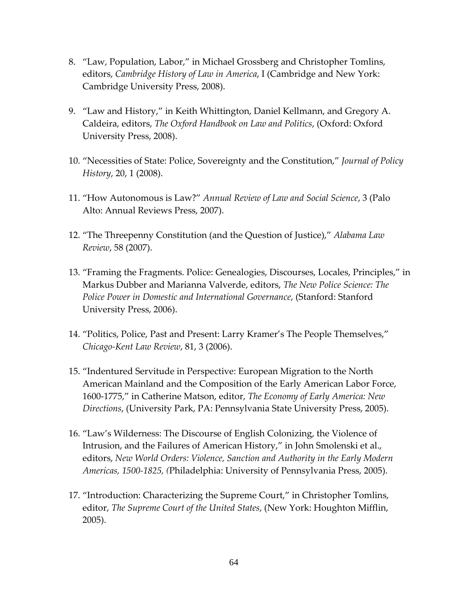- 8. "Law, Population, Labor," in Michael Grossberg and Christopher Tomlins, editors, *Cambridge History of Law in America*, I (Cambridge and New York: Cambridge University Press, 2008).
- 9. "Law and History," in Keith Whittington, Daniel Kellmann, and Gregory A. Caldeira, editors, *The Oxford Handbook on Law and Politics*, (Oxford: Oxford University Press, 2008).
- 10. "Necessities of State: Police, Sovereignty and the Constitution," *Journal of Policy History*, 20, 1 (2008).
- 11. "How Autonomous is Law?" *Annual Review of Law and Social Science*, 3 (Palo Alto: Annual Reviews Press, 2007).
- 12. "The Threepenny Constitution (and the Question of Justice)," *Alabama Law Review*, 58 (2007).
- 13. "Framing the Fragments. Police: Genealogies, Discourses, Locales, Principles," in Markus Dubber and Marianna Valverde, editors, *The New Police Science: The Police Power in Domestic and International Governance*, (Stanford: Stanford University Press, 2006).
- 14. "Politics, Police, Past and Present: Larry Kramer's The People Themselves," *Chicago-Kent Law Review*, 81, 3 (2006).
- 15. "Indentured Servitude in Perspective: European Migration to the North American Mainland and the Composition of the Early American Labor Force, 1600-1775," in Catherine Matson, editor, *The Economy of Early America: New Directions*, (University Park, PA: Pennsylvania State University Press, 2005).
- 16. "Law's Wilderness: The Discourse of English Colonizing, the Violence of Intrusion, and the Failures of American History," in John Smolenski et al., editors, *New World Orders: Violence, Sanction and Authority in the Early Modern Americas, 1500-1825, (*Philadelphia: University of Pennsylvania Press, 2005).
- 17. "Introduction: Characterizing the Supreme Court," in Christopher Tomlins, editor, *The Supreme Court of the United States*, (New York: Houghton Mifflin, 2005).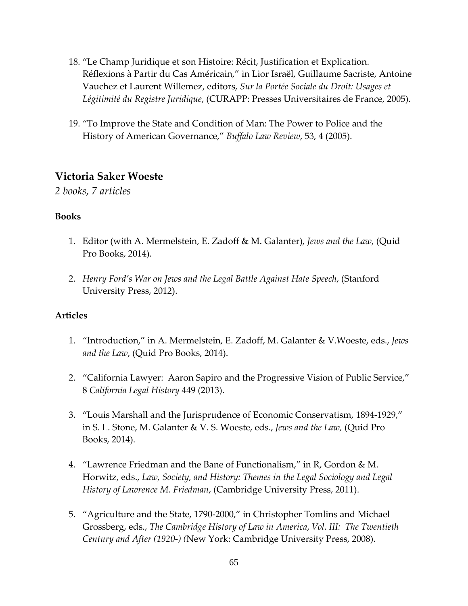- 18. "Le Champ Juridique et son Histoire: Récit, Justification et Explication. Réflexions à Partir du Cas Américain," in Lior Israël, Guillaume Sacriste, Antoine Vauchez et Laurent Willemez, editors, *Sur la Portée Sociale du Droit: Usages et Légitimité du Registre Juridique*, (CURAPP: Presses Universitaires de France, 2005).
- 19. "To Improve the State and Condition of Man: The Power to Police and the History of American Governance," *Buffalo Law Review*, 53, 4 (2005).

### **Victoria Saker Woeste**

*2 books, 7 articles*

#### **Books**

- 1. Editor (with A. Mermelstein, E. Zadoff & M. Galanter), *Jews and the Law*, (Quid Pro Books, 2014).
- 2. *Henry Ford's War on Jews and the Legal Battle Against Hate Speech*, (Stanford University Press, 2012).

- 1. "Introduction," in A. Mermelstein, E. Zadoff, M. Galanter & V.Woeste, eds., *Jews and the Law*, (Quid Pro Books, 2014).
- 2. "California Lawyer: Aaron Sapiro and the Progressive Vision of Public Service," 8 *California Legal History* 449 (2013).
- 3. "Louis Marshall and the Jurisprudence of Economic Conservatism, 1894-1929," in S. L. Stone, M. Galanter & V. S. Woeste, eds., *Jews and the Law,* (Quid Pro Books, 2014).
- 4. "Lawrence Friedman and the Bane of Functionalism," in R, Gordon & M. Horwitz, eds., *Law, Society, and History: Themes in the Legal Sociology and Legal History of Lawrence M. Friedman*, (Cambridge University Press, 2011).
- 5. "Agriculture and the State, 1790-2000," in Christopher Tomlins and Michael Grossberg, eds., *The Cambridge History of Law in America*, *Vol. III: The Twentieth Century and After (1920-) (*New York: Cambridge University Press, 2008).